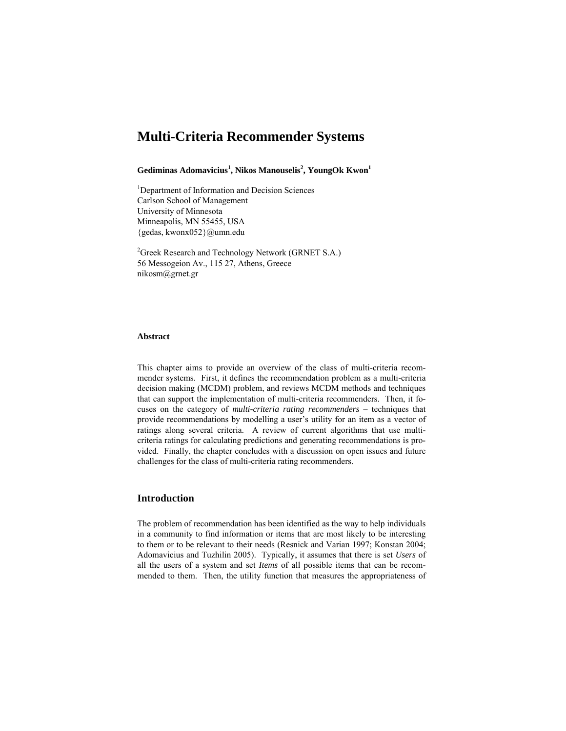# **Multi-Criteria Recommender Systems**

**Gediminas Adomavicius<sup>1</sup> , Nikos Manouselis<sup>2</sup> , YoungOk Kwon1**

<sup>1</sup>Department of Information and Decision Sciences Carlson School of Management University of Minnesota Minneapolis, MN 55455, USA {gedas, kwonx052}@umn.edu

<sup>2</sup> Greek Research and Technology Network (GRNET S.A.) 56 Messogeion Av., 115 27, Athens, Greece nikosm@grnet.gr

### **Abstract**

This chapter aims to provide an overview of the class of multi-criteria recommender systems. First, it defines the recommendation problem as a multi-criteria decision making (MCDM) problem, and reviews MCDM methods and techniques that can support the implementation of multi-criteria recommenders. Then, it focuses on the category of *multi-criteria rating recommenders* – techniques that provide recommendations by modelling a user's utility for an item as a vector of ratings along several criteria. A review of current algorithms that use multicriteria ratings for calculating predictions and generating recommendations is provided. Finally, the chapter concludes with a discussion on open issues and future challenges for the class of multi-criteria rating recommenders.

# **Introduction**

The problem of recommendation has been identified as the way to help individuals in a community to find information or items that are most likely to be interesting to them or to be relevant to their needs (Resnick and Varian 1997; Konstan 2004; Adomavicius and Tuzhilin 2005). Typically, it assumes that there is set *Users* of all the users of a system and set *Items* of all possible items that can be recommended to them. Then, the utility function that measures the appropriateness of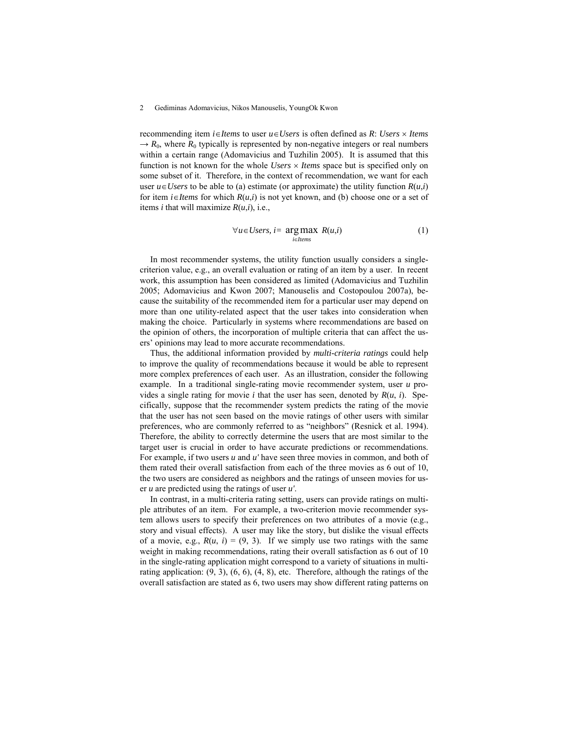recommending item *i*∈*Items* to user *u*∈*Users* is often defined as *R*: *Users* × *Items*  $\rightarrow R_0$ , where  $R_0$  typically is represented by non-negative integers or real numbers within a certain range (Adomavicius and Tuzhilin 2005). It is assumed that this function is not known for the whole *Users* × *Items* space but is specified only on some subset of it. Therefore, in the context of recommendation, we want for each user  $u \in U$ *sers* to be able to (a) estimate (or approximate) the utility function  $R(u,i)$ for item *i*∈*Items* for which  $R(u,i)$  is not yet known, and (b) choose one or a set of items *i* that will maximize  $R(u,i)$ , i.e.,

$$
\forall u \in Users, i = \underset{i \in items}{\arg \max} R(u, i) \tag{1}
$$

In most recommender systems, the utility function usually considers a singlecriterion value, e.g., an overall evaluation or rating of an item by a user. In recent work, this assumption has been considered as limited (Adomavicius and Tuzhilin 2005; Adomavicius and Kwon 2007; Manouselis and Costopoulou 2007a), because the suitability of the recommended item for a particular user may depend on more than one utility-related aspect that the user takes into consideration when making the choice. Particularly in systems where recommendations are based on the opinion of others, the incorporation of multiple criteria that can affect the users' opinions may lead to more accurate recommendations.

Thus, the additional information provided by *multi-criteria ratings* could help to improve the quality of recommendations because it would be able to represent more complex preferences of each user. As an illustration, consider the following example. In a traditional single-rating movie recommender system, user *u* provides a single rating for movie *i* that the user has seen, denoted by  $R(u, i)$ . Specifically, suppose that the recommender system predicts the rating of the movie that the user has not seen based on the movie ratings of other users with similar preferences, who are commonly referred to as "neighbors" (Resnick et al. 1994). Therefore, the ability to correctly determine the users that are most similar to the target user is crucial in order to have accurate predictions or recommendations. For example, if two users *u* and *u'* have seen three movies in common, and both of them rated their overall satisfaction from each of the three movies as 6 out of 10, the two users are considered as neighbors and the ratings of unseen movies for user *u* are predicted using the ratings of user *u'*.

In contrast, in a multi-criteria rating setting, users can provide ratings on multiple attributes of an item. For example, a two-criterion movie recommender system allows users to specify their preferences on two attributes of a movie (e.g., story and visual effects). A user may like the story, but dislike the visual effects of a movie, e.g.,  $R(u, i) = (9, 3)$ . If we simply use two ratings with the same weight in making recommendations, rating their overall satisfaction as 6 out of 10 in the single-rating application might correspond to a variety of situations in multirating application:  $(9, 3)$ ,  $(6, 6)$ ,  $(4, 8)$ , etc. Therefore, although the ratings of the overall satisfaction are stated as 6, two users may show different rating patterns on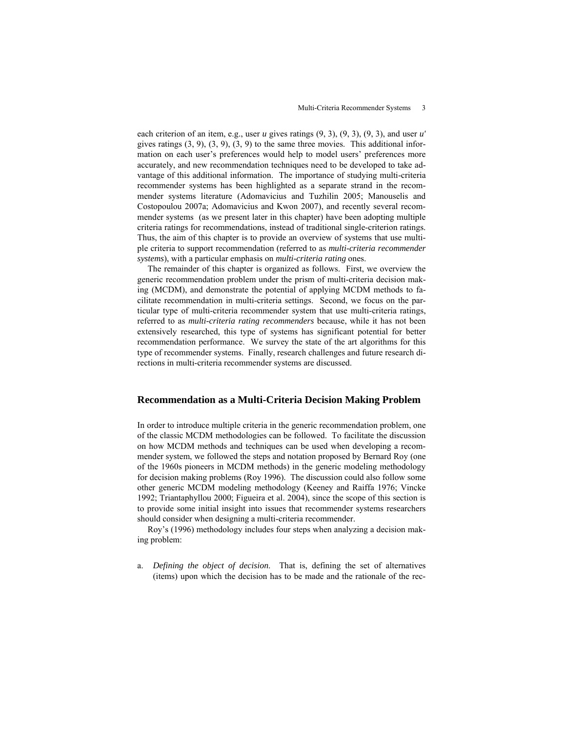each criterion of an item, e.g., user *u* gives ratings (9, 3), (9, 3), (9, 3), and user *u'* gives ratings  $(3, 9)$ ,  $(3, 9)$ ,  $(3, 9)$  to the same three movies. This additional information on each user's preferences would help to model users' preferences more accurately, and new recommendation techniques need to be developed to take advantage of this additional information. The importance of studying multi-criteria recommender systems has been highlighted as a separate strand in the recommender systems literature (Adomavicius and Tuzhilin 2005; Manouselis and Costopoulou 2007a; Adomavicius and Kwon 2007), and recently several recommender systems (as we present later in this chapter) have been adopting multiple criteria ratings for recommendations, instead of traditional single-criterion ratings. Thus, the aim of this chapter is to provide an overview of systems that use multiple criteria to support recommendation (referred to as *multi-criteria recommender systems*), with a particular emphasis on *multi-criteria rating* ones.

The remainder of this chapter is organized as follows. First, we overview the generic recommendation problem under the prism of multi-criteria decision making (MCDM), and demonstrate the potential of applying MCDM methods to facilitate recommendation in multi-criteria settings. Second, we focus on the particular type of multi-criteria recommender system that use multi-criteria ratings, referred to as *multi-criteria rating recommenders* because, while it has not been extensively researched, this type of systems has significant potential for better recommendation performance. We survey the state of the art algorithms for this type of recommender systems. Finally, research challenges and future research directions in multi-criteria recommender systems are discussed.

# **Recommendation as a Multi-Criteria Decision Making Problem**

In order to introduce multiple criteria in the generic recommendation problem, one of the classic MCDM methodologies can be followed. To facilitate the discussion on how MCDM methods and techniques can be used when developing a recommender system, we followed the steps and notation proposed by Bernard Roy (one of the 1960s pioneers in MCDM methods) in the generic modeling methodology for decision making problems (Roy 1996). The discussion could also follow some other generic MCDM modeling methodology (Keeney and Raiffa 1976; Vincke 1992; Triantaphyllou 2000; Figueira et al. 2004), since the scope of this section is to provide some initial insight into issues that recommender systems researchers should consider when designing a multi-criteria recommender.

Roy's (1996) methodology includes four steps when analyzing a decision making problem:

a. *Defining the object of decision*. That is, defining the set of alternatives (items) upon which the decision has to be made and the rationale of the rec-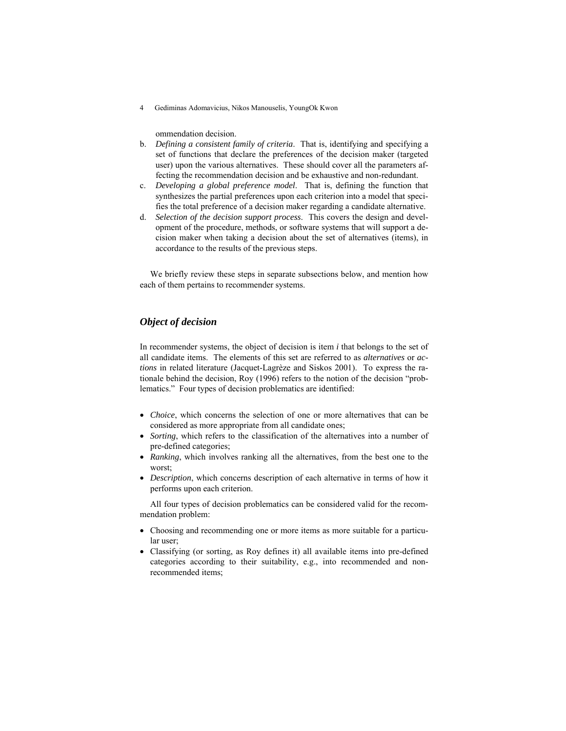ommendation decision.

- b. *Defining a consistent family of criteria*. That is, identifying and specifying a set of functions that declare the preferences of the decision maker (targeted user) upon the various alternatives. These should cover all the parameters affecting the recommendation decision and be exhaustive and non-redundant.
- c. *Developing a global preference model*. That is, defining the function that synthesizes the partial preferences upon each criterion into a model that specifies the total preference of a decision maker regarding a candidate alternative.
- d. *Selection of the decision support process*. This covers the design and development of the procedure, methods, or software systems that will support a decision maker when taking a decision about the set of alternatives (items), in accordance to the results of the previous steps.

We briefly review these steps in separate subsections below, and mention how each of them pertains to recommender systems.

# *Object of decision*

In recommender systems, the object of decision is item *i* that belongs to the set of all candidate items. The elements of this set are referred to as *alternatives* or *actions* in related literature (Jacquet-Lagrèze and Siskos 2001). To express the rationale behind the decision, Roy (1996) refers to the notion of the decision "problematics." Four types of decision problematics are identified:

- *Choice*, which concerns the selection of one or more alternatives that can be considered as more appropriate from all candidate ones;
- *Sorting*, which refers to the classification of the alternatives into a number of pre-defined categories;
- *Ranking*, which involves ranking all the alternatives, from the best one to the worst;
- *Description*, which concerns description of each alternative in terms of how it performs upon each criterion.

All four types of decision problematics can be considered valid for the recommendation problem:

- Choosing and recommending one or more items as more suitable for a particular user;
- Classifying (or sorting, as Roy defines it) all available items into pre-defined categories according to their suitability, e.g., into recommended and nonrecommended items;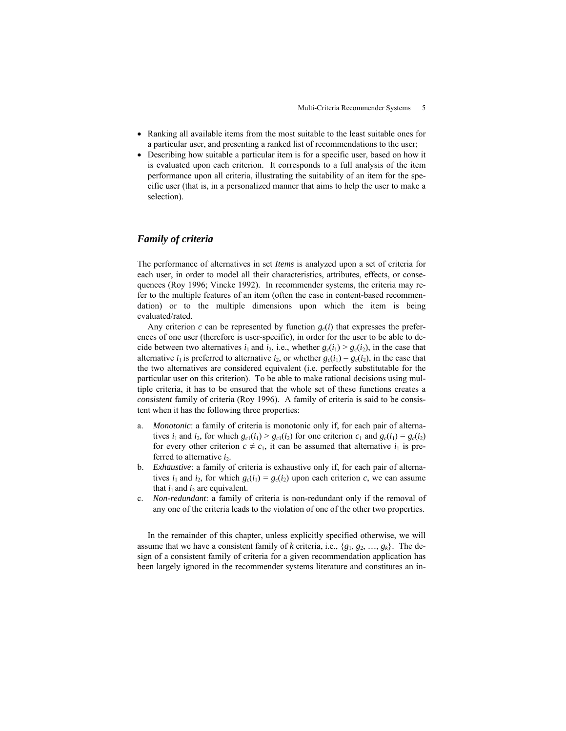- Ranking all available items from the most suitable to the least suitable ones for a particular user, and presenting a ranked list of recommendations to the user;
- Describing how suitable a particular item is for a specific user, based on how it is evaluated upon each criterion. It corresponds to a full analysis of the item performance upon all criteria, illustrating the suitability of an item for the specific user (that is, in a personalized manner that aims to help the user to make a selection).

# *Family of criteria*

The performance of alternatives in set *Items* is analyzed upon a set of criteria for each user, in order to model all their characteristics, attributes, effects, or consequences (Roy 1996; Vincke 1992). In recommender systems, the criteria may refer to the multiple features of an item (often the case in content-based recommendation) or to the multiple dimensions upon which the item is being evaluated/rated.

Any criterion  $c$  can be represented by function  $g_c(i)$  that expresses the preferences of one user (therefore is user-specific), in order for the user to be able to decide between two alternatives  $i_1$  and  $i_2$ , i.e., whether  $g_c(i_1) > g_c(i_2)$ , in the case that alternative  $i_1$  is preferred to alternative  $i_2$ , or whether  $g_c(i_1) = g_c(i_2)$ , in the case that the two alternatives are considered equivalent (i.e. perfectly substitutable for the particular user on this criterion). To be able to make rational decisions using multiple criteria, it has to be ensured that the whole set of these functions creates a *consistent* family of criteria (Roy 1996). A family of criteria is said to be consistent when it has the following three properties:

- a. *Monotonic*: a family of criteria is monotonic only if, for each pair of alternatives  $i_1$  and  $i_2$ , for which  $g_{c1}(i_1) > g_{c1}(i_2)$  for one criterion  $c_1$  and  $g_c(i_1) = g_c(i_2)$ for every other criterion  $c \neq c_1$ , it can be assumed that alternative  $i_1$  is preferred to alternative  $i_2$ .
- b. *Exhaustive*: a family of criteria is exhaustive only if, for each pair of alternatives  $i_1$  and  $i_2$ , for which  $g_c(i_1) = g_c(i_2)$  upon each criterion *c*, we can assume that  $i_1$  and  $i_2$  are equivalent.
- c. *Non-redundant*: a family of criteria is non-redundant only if the removal of any one of the criteria leads to the violation of one of the other two properties.

In the remainder of this chapter, unless explicitly specified otherwise, we will assume that we have a consistent family of *k* criteria, i.e., {*g*1, *g*2, …, *gk*}. The design of a consistent family of criteria for a given recommendation application has been largely ignored in the recommender systems literature and constitutes an in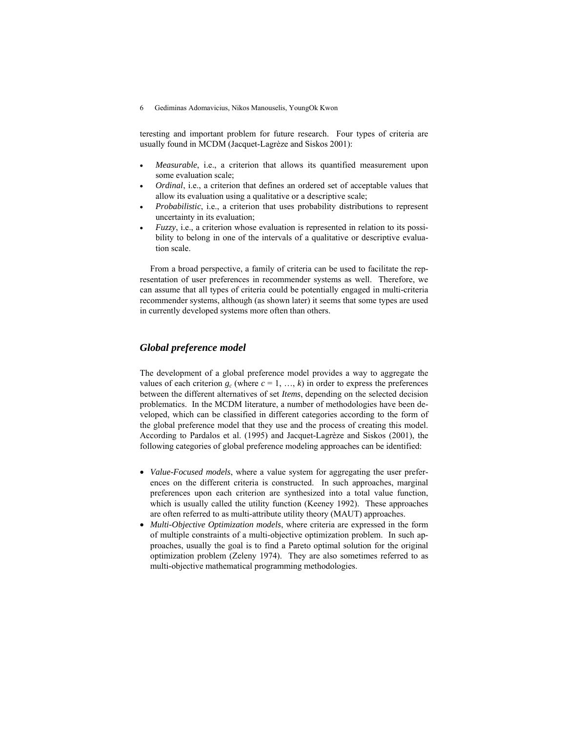teresting and important problem for future research. Four types of criteria are usually found in MCDM (Jacquet-Lagrèze and Siskos 2001):

- *Measurable*, i.e., a criterion that allows its quantified measurement upon some evaluation scale;
- *Ordinal*, i.e., a criterion that defines an ordered set of acceptable values that allow its evaluation using a qualitative or a descriptive scale;
- *Probabilistic*, i.e., a criterion that uses probability distributions to represent uncertainty in its evaluation;
- *Fuzzy*, i.e., a criterion whose evaluation is represented in relation to its possibility to belong in one of the intervals of a qualitative or descriptive evaluation scale.

From a broad perspective, a family of criteria can be used to facilitate the representation of user preferences in recommender systems as well. Therefore, we can assume that all types of criteria could be potentially engaged in multi-criteria recommender systems, although (as shown later) it seems that some types are used in currently developed systems more often than others.

## *Global preference model*

The development of a global preference model provides a way to aggregate the values of each criterion  $g_c$  (where  $c = 1, ..., k$ ) in order to express the preferences between the different alternatives of set *Items*, depending on the selected decision problematics. In the MCDM literature, a number of methodologies have been developed, which can be classified in different categories according to the form of the global preference model that they use and the process of creating this model. According to Pardalos et al. (1995) and Jacquet-Lagrèze and Siskos (2001), the following categories of global preference modeling approaches can be identified:

- *Value-Focused models*, where a value system for aggregating the user preferences on the different criteria is constructed. In such approaches, marginal preferences upon each criterion are synthesized into a total value function, which is usually called the utility function (Keeney 1992). These approaches are often referred to as multi-attribute utility theory (MAUT) approaches.
- *Multi-Objective Optimization models*, where criteria are expressed in the form of multiple constraints of a multi-objective optimization problem. In such approaches, usually the goal is to find a Pareto optimal solution for the original optimization problem (Zeleny 1974). They are also sometimes referred to as multi-objective mathematical programming methodologies.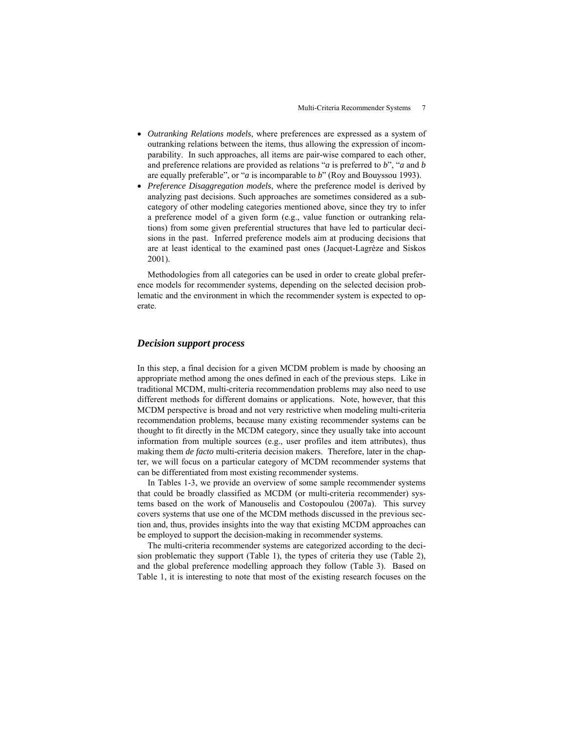- *Outranking Relations models*, where preferences are expressed as a system of outranking relations between the items, thus allowing the expression of incomparability. In such approaches, all items are pair-wise compared to each other, and preference relations are provided as relations "*a* is preferred to *b*", "*a* and *b* are equally preferable", or "*a* is incomparable to *b*" (Roy and Bouyssou 1993).
- *Preference Disaggregation models*, where the preference model is derived by analyzing past decisions. Such approaches are sometimes considered as a subcategory of other modeling categories mentioned above, since they try to infer a preference model of a given form (e.g., value function or outranking relations) from some given preferential structures that have led to particular decisions in the past. Inferred preference models aim at producing decisions that are at least identical to the examined past ones (Jacquet-Lagrèze and Siskos 2001).

Methodologies from all categories can be used in order to create global preference models for recommender systems, depending on the selected decision problematic and the environment in which the recommender system is expected to operate.

### *Decision support process*

In this step, a final decision for a given MCDM problem is made by choosing an appropriate method among the ones defined in each of the previous steps. Like in traditional MCDM, multi-criteria recommendation problems may also need to use different methods for different domains or applications. Note, however, that this MCDM perspective is broad and not very restrictive when modeling multi-criteria recommendation problems, because many existing recommender systems can be thought to fit directly in the MCDM category, since they usually take into account information from multiple sources (e.g., user profiles and item attributes), thus making them *de facto* multi-criteria decision makers. Therefore, later in the chapter, we will focus on a particular category of MCDM recommender systems that can be differentiated from most existing recommender systems.

In Tables 1-3, we provide an overview of some sample recommender systems that could be broadly classified as MCDM (or multi-criteria recommender) systems based on the work of Manouselis and Costopoulou (2007a). This survey covers systems that use one of the MCDM methods discussed in the previous section and, thus, provides insights into the way that existing MCDM approaches can be employed to support the decision-making in recommender systems.

The multi-criteria recommender systems are categorized according to the decision problematic they support (Table 1), the types of criteria they use (Table 2), and the global preference modelling approach they follow (Table 3). Based on Table 1, it is interesting to note that most of the existing research focuses on the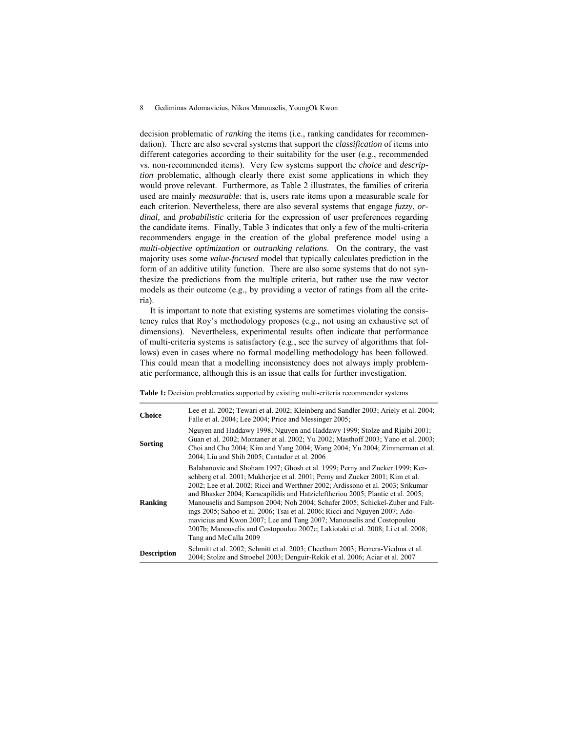decision problematic of *rankin*g the items (i.e., ranking candidates for recommendation). There are also several systems that support the *classification* of items into different categories according to their suitability for the user (e.g., recommended vs. non-recommended items). Very few systems support the *choice* and *description* problematic, although clearly there exist some applications in which they would prove relevant. Furthermore, as Table 2 illustrates, the families of criteria used are mainly *measurable*: that is, users rate items upon a measurable scale for each criterion. Nevertheless, there are also several systems that engage *fuzzy*, *ordinal,* and *probabilistic* criteria for the expression of user preferences regarding the candidate items. Finally, Table 3 indicates that only a few of the multi-criteria recommenders engage in the creation of the global preference model using a *multi-objective optimization* or *outranking relations*. On the contrary, the vast majority uses some *value-focused* model that typically calculates prediction in the form of an additive utility function. There are also some systems that do not synthesize the predictions from the multiple criteria, but rather use the raw vector models as their outcome (e.g., by providing a vector of ratings from all the criteria).

It is important to note that existing systems are sometimes violating the consistency rules that Roy's methodology proposes (e.g., not using an exhaustive set of dimensions). Nevertheless, experimental results often indicate that performance of multi-criteria systems is satisfactory (e.g., see the survey of algorithms that follows) even in cases where no formal modelling methodology has been followed. This could mean that a modelling inconsistency does not always imply problematic performance, although this is an issue that calls for further investigation.

**Table 1:** Decision problematics supported by existing multi-criteria recommender systems

| Choice             | Lee et al. 2002; Tewari et al. 2002; Kleinberg and Sandler 2003; Ariely et al. 2004;<br>Falle et al. 2004; Lee 2004; Price and Messinger 2005;                                                                                                                                                                                                                                                                                                                                                                                                                                                                                                                                          |
|--------------------|-----------------------------------------------------------------------------------------------------------------------------------------------------------------------------------------------------------------------------------------------------------------------------------------------------------------------------------------------------------------------------------------------------------------------------------------------------------------------------------------------------------------------------------------------------------------------------------------------------------------------------------------------------------------------------------------|
| <b>Sorting</b>     | Nguyen and Haddawy 1998; Nguyen and Haddawy 1999; Stolze and Riaibi 2001;<br>Guan et al. 2002; Montaner et al. 2002; Yu 2002; Masthoff 2003; Yano et al. 2003;<br>Choi and Cho 2004; Kim and Yang 2004; Wang 2004; Yu 2004; Zimmerman et al.<br>2004; Liu and Shih 2005; Cantador et al. 2006                                                                                                                                                                                                                                                                                                                                                                                           |
| <b>Ranking</b>     | Balabanovic and Shoham 1997; Ghosh et al. 1999; Perny and Zucker 1999; Ker-<br>schberg et al. 2001; Mukherjee et al. 2001; Perny and Zucker 2001; Kim et al.<br>2002; Lee et al. 2002; Ricci and Werthner 2002; Ardissono et al. 2003; Srikumar<br>and Bhasker 2004; Karacapilidis and Hatzieleftheriou 2005; Plantie et al. 2005;<br>Manouselis and Sampson 2004; Noh 2004; Schafer 2005; Schickel-Zuber and Falt-<br>ings 2005; Sahoo et al. 2006; Tsai et al. 2006; Ricci and Nguyen 2007; Ado-<br>mavicius and Kwon 2007; Lee and Tang 2007; Manouselis and Costopoulou<br>2007b; Manouselis and Costopoulou 2007c; Lakiotaki et al. 2008; Li et al. 2008;<br>Tang and McCalla 2009 |
| <b>Description</b> | Schmitt et al. 2002; Schmitt et al. 2003; Cheetham 2003; Herrera-Viedma et al.<br>2004; Stolze and Stroebel 2003; Denguir-Rekik et al. 2006; Aciar et al. 2007                                                                                                                                                                                                                                                                                                                                                                                                                                                                                                                          |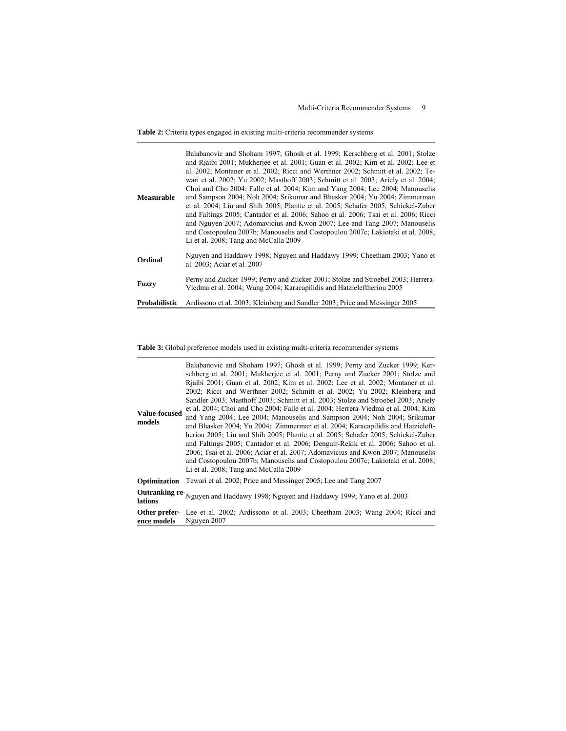**Table 2:** Criteria types engaged in existing multi-criteria recommender systems

| <b>Measurable</b>    | Balabanovic and Shoham 1997; Ghosh et al. 1999; Kerschberg et al. 2001; Stolze<br>and Riaibi 2001; Mukherjee et al. 2001; Guan et al. 2002; Kim et al. 2002; Lee et<br>al. 2002; Montaner et al. 2002; Ricci and Werthner 2002; Schmitt et al. 2002; Te-<br>wari et al. 2002; Yu 2002; Masthoff 2003; Schmitt et al. 2003; Ariely et al. 2004;<br>Choi and Cho 2004; Falle et al. 2004; Kim and Yang 2004; Lee 2004; Manouselis<br>and Sampson 2004; Noh 2004; Srikumar and Bhasker 2004; Yu 2004; Zimmerman<br>et al. 2004; Liu and Shih 2005; Plantie et al. 2005; Schafer 2005; Schickel-Zuber<br>and Faltings 2005; Cantador et al. 2006; Sahoo et al. 2006; Tsai et al. 2006; Ricci<br>and Nguyen 2007; Adomavicius and Kwon 2007; Lee and Tang 2007; Manouselis<br>and Costopoulou 2007b; Manouselis and Costopoulou 2007c; Lakiotaki et al. 2008;<br>Li et al. 2008; Tang and McCalla 2009 |  |  |  |  |
|----------------------|---------------------------------------------------------------------------------------------------------------------------------------------------------------------------------------------------------------------------------------------------------------------------------------------------------------------------------------------------------------------------------------------------------------------------------------------------------------------------------------------------------------------------------------------------------------------------------------------------------------------------------------------------------------------------------------------------------------------------------------------------------------------------------------------------------------------------------------------------------------------------------------------------|--|--|--|--|
| Ordinal              | Nguyen and Haddawy 1998; Nguyen and Haddawy 1999; Cheetham 2003; Yano et<br>al. 2003; Aciar et al. 2007                                                                                                                                                                                                                                                                                                                                                                                                                                                                                                                                                                                                                                                                                                                                                                                           |  |  |  |  |
| Fuzzy                | Perny and Zucker 1999; Perny and Zucker 2001; Stolze and Stroebel 2003; Herrera-<br>Viedma et al. 2004; Wang 2004; Karacapilidis and Hatzieleftheriou 2005                                                                                                                                                                                                                                                                                                                                                                                                                                                                                                                                                                                                                                                                                                                                        |  |  |  |  |
| <b>Probabilistic</b> | Ardissono et al. 2003; Kleinberg and Sandler 2003; Price and Messinger 2005                                                                                                                                                                                                                                                                                                                                                                                                                                                                                                                                                                                                                                                                                                                                                                                                                       |  |  |  |  |

**Table 3:** Global preference models used in existing multi-criteria recommender systems

| <b>Value-focused</b><br>models | Balabanovic and Shoham 1997; Ghosh et al. 1999; Perny and Zucker 1999; Ker-<br>schberg et al. 2001; Mukherjee et al. 2001; Perny and Zucker 2001; Stolze and<br>Riaibi 2001; Guan et al. 2002; Kim et al. 2002; Lee et al. 2002; Montaner et al.<br>2002; Ricci and Werthner 2002; Schmitt et al. 2002; Yu 2002; Kleinberg and<br>Sandler 2003; Masthoff 2003; Schmitt et al. 2003; Stolze and Stroebel 2003; Ariely<br>et al. 2004; Choi and Cho 2004; Falle et al. 2004; Herrera-Viedma et al. 2004; Kim<br>and Yang 2004; Lee 2004; Manouselis and Sampson 2004; Noh 2004; Srikumar<br>and Bhasker 2004; Yu 2004; Zimmerman et al. 2004; Karacapilidis and Hatzieleft-<br>heriou 2005; Liu and Shih 2005; Plantie et al. 2005; Schafer 2005; Schickel-Zuber<br>and Faltings 2005; Cantador et al. 2006; Denguir-Rekik et al. 2006; Sahoo et al.<br>2006; Tsai et al. 2006; Aciar et al. 2007; Adomavicius and Kwon 2007; Manouselis<br>and Costopoulou 2007b; Manouselis and Costopoulou 2007c; Lakiotaki et al. 2008;<br>Li et al. 2008; Tang and McCalla 2009 |  |  |  |
|--------------------------------|--------------------------------------------------------------------------------------------------------------------------------------------------------------------------------------------------------------------------------------------------------------------------------------------------------------------------------------------------------------------------------------------------------------------------------------------------------------------------------------------------------------------------------------------------------------------------------------------------------------------------------------------------------------------------------------------------------------------------------------------------------------------------------------------------------------------------------------------------------------------------------------------------------------------------------------------------------------------------------------------------------------------------------------------------------------------|--|--|--|
| Optimization                   | Tewari et al. 2002; Price and Messinger 2005; Lee and Tang 2007                                                                                                                                                                                                                                                                                                                                                                                                                                                                                                                                                                                                                                                                                                                                                                                                                                                                                                                                                                                                    |  |  |  |
| lations                        | Outranking re-Nguyen and Haddawy 1998; Nguyen and Haddawy 1999; Yano et al. 2003                                                                                                                                                                                                                                                                                                                                                                                                                                                                                                                                                                                                                                                                                                                                                                                                                                                                                                                                                                                   |  |  |  |
| ence models                    | <b>Other prefer-</b> Lee et al. 2002; Ardissono et al. 2003; Cheetham 2003; Wang 2004; Ricci and<br>Nguyen 2007                                                                                                                                                                                                                                                                                                                                                                                                                                                                                                                                                                                                                                                                                                                                                                                                                                                                                                                                                    |  |  |  |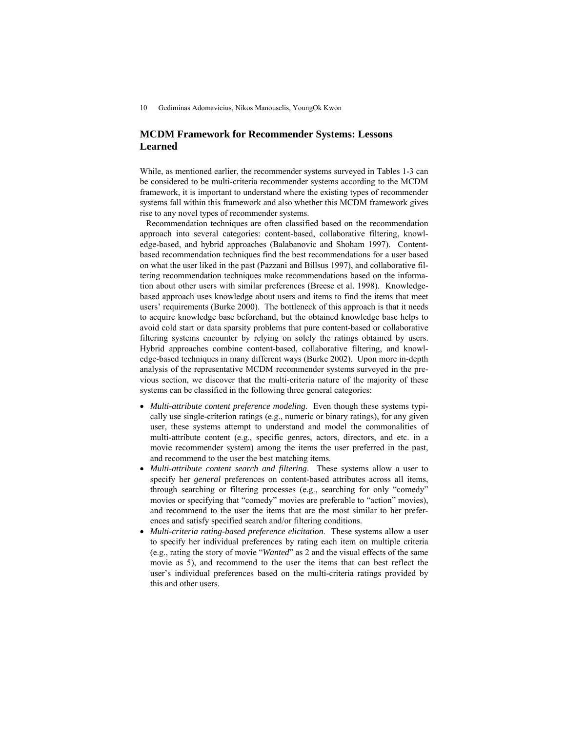# **MCDM Framework for Recommender Systems: Lessons Learned**

While, as mentioned earlier, the recommender systems surveyed in Tables 1-3 can be considered to be multi-criteria recommender systems according to the MCDM framework, it is important to understand where the existing types of recommender systems fall within this framework and also whether this MCDM framework gives rise to any novel types of recommender systems.

Recommendation techniques are often classified based on the recommendation approach into several categories: content-based, collaborative filtering, knowledge-based, and hybrid approaches (Balabanovic and Shoham 1997). Contentbased recommendation techniques find the best recommendations for a user based on what the user liked in the past (Pazzani and Billsus 1997), and collaborative filtering recommendation techniques make recommendations based on the information about other users with similar preferences (Breese et al. 1998). Knowledgebased approach uses knowledge about users and items to find the items that meet users' requirements (Burke 2000). The bottleneck of this approach is that it needs to acquire knowledge base beforehand, but the obtained knowledge base helps to avoid cold start or data sparsity problems that pure content-based or collaborative filtering systems encounter by relying on solely the ratings obtained by users. Hybrid approaches combine content-based, collaborative filtering, and knowledge-based techniques in many different ways (Burke 2002). Upon more in-depth analysis of the representative MCDM recommender systems surveyed in the previous section, we discover that the multi-criteria nature of the majority of these systems can be classified in the following three general categories:

- *Multi-attribute content preference modeling*. Even though these systems typically use single-criterion ratings (e.g., numeric or binary ratings), for any given user, these systems attempt to understand and model the commonalities of multi-attribute content (e.g., specific genres, actors, directors, and etc. in a movie recommender system) among the items the user preferred in the past, and recommend to the user the best matching items.
- *Multi-attribute content search and filtering*. These systems allow a user to specify her *general* preferences on content-based attributes across all items, through searching or filtering processes (e.g., searching for only "comedy" movies or specifying that "comedy" movies are preferable to "action" movies), and recommend to the user the items that are the most similar to her preferences and satisfy specified search and/or filtering conditions.
- *Multi-criteria rating-based preference elicitation*. These systems allow a user to specify her individual preferences by rating each item on multiple criteria (e.g., rating the story of movie "*Wanted*" as 2 and the visual effects of the same movie as 5), and recommend to the user the items that can best reflect the user's individual preferences based on the multi-criteria ratings provided by this and other users.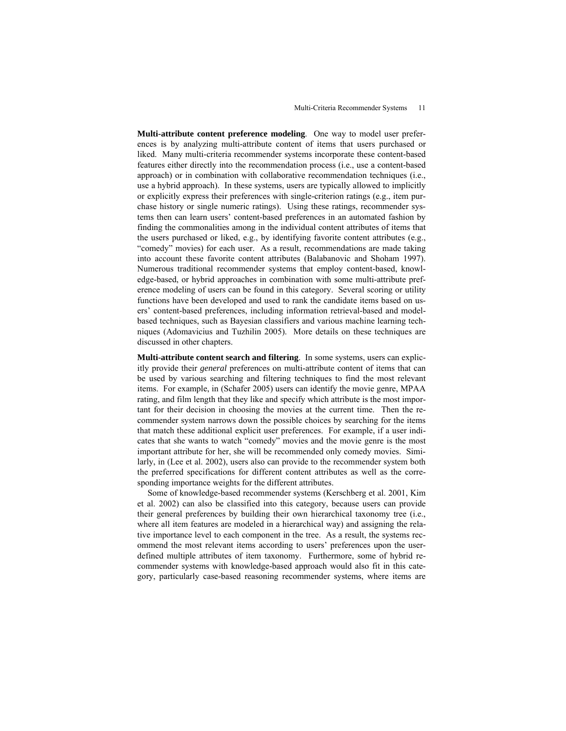**Multi-attribute content preference modeling**. One way to model user preferences is by analyzing multi-attribute content of items that users purchased or liked. Many multi-criteria recommender systems incorporate these content-based features either directly into the recommendation process (i.e., use a content-based approach) or in combination with collaborative recommendation techniques (i.e., use a hybrid approach). In these systems, users are typically allowed to implicitly or explicitly express their preferences with single-criterion ratings (e.g., item purchase history or single numeric ratings). Using these ratings, recommender systems then can learn users' content-based preferences in an automated fashion by finding the commonalities among in the individual content attributes of items that the users purchased or liked, e.g., by identifying favorite content attributes (e.g., "comedy" movies) for each user. As a result, recommendations are made taking into account these favorite content attributes (Balabanovic and Shoham 1997). Numerous traditional recommender systems that employ content-based, knowledge-based, or hybrid approaches in combination with some multi-attribute preference modeling of users can be found in this category. Several scoring or utility functions have been developed and used to rank the candidate items based on users' content-based preferences, including information retrieval-based and modelbased techniques, such as Bayesian classifiers and various machine learning techniques (Adomavicius and Tuzhilin 2005). More details on these techniques are discussed in other chapters.

**Multi-attribute content search and filtering**. In some systems, users can explicitly provide their *general* preferences on multi-attribute content of items that can be used by various searching and filtering techniques to find the most relevant items. For example, in (Schafer 2005) users can identify the movie genre, MPAA rating, and film length that they like and specify which attribute is the most important for their decision in choosing the movies at the current time. Then the recommender system narrows down the possible choices by searching for the items that match these additional explicit user preferences. For example, if a user indicates that she wants to watch "comedy" movies and the movie genre is the most important attribute for her, she will be recommended only comedy movies. Similarly, in (Lee et al. 2002), users also can provide to the recommender system both the preferred specifications for different content attributes as well as the corresponding importance weights for the different attributes.

Some of knowledge-based recommender systems (Kerschberg et al. 2001, Kim et al. 2002) can also be classified into this category, because users can provide their general preferences by building their own hierarchical taxonomy tree (i.e., where all item features are modeled in a hierarchical way) and assigning the relative importance level to each component in the tree. As a result, the systems recommend the most relevant items according to users' preferences upon the userdefined multiple attributes of item taxonomy. Furthermore, some of hybrid recommender systems with knowledge-based approach would also fit in this category, particularly case-based reasoning recommender systems, where items are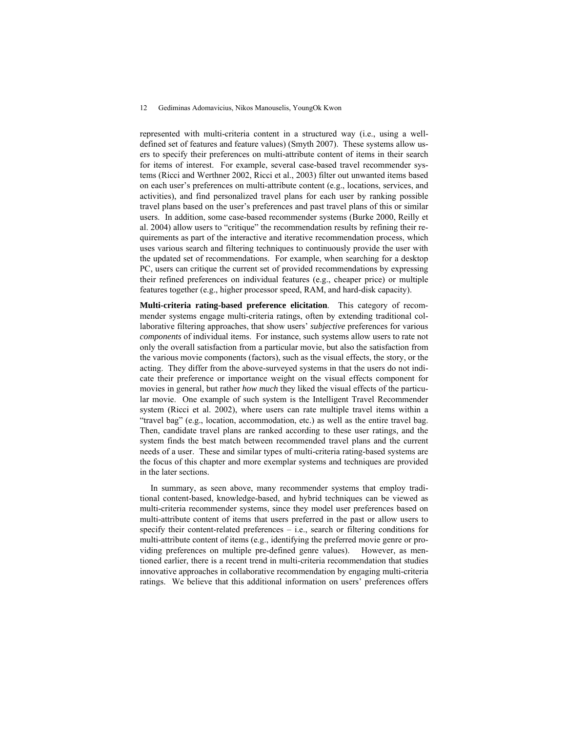represented with multi-criteria content in a structured way (i.e., using a welldefined set of features and feature values) (Smyth 2007). These systems allow users to specify their preferences on multi-attribute content of items in their search for items of interest. For example, several case-based travel recommender systems (Ricci and Werthner 2002, Ricci et al., 2003) filter out unwanted items based on each user's preferences on multi-attribute content (e.g., locations, services, and activities), and find personalized travel plans for each user by ranking possible travel plans based on the user's preferences and past travel plans of this or similar users. In addition, some case-based recommender systems (Burke 2000, Reilly et al. 2004) allow users to "critique" the recommendation results by refining their requirements as part of the interactive and iterative recommendation process, which uses various search and filtering techniques to continuously provide the user with the updated set of recommendations. For example, when searching for a desktop PC, users can critique the current set of provided recommendations by expressing their refined preferences on individual features (e.g., cheaper price) or multiple features together (e.g., higher processor speed, RAM, and hard-disk capacity).

**Multi-criteria rating-based preference elicitation**. This category of recommender systems engage multi-criteria ratings, often by extending traditional collaborative filtering approaches, that show users' *subjective* preferences for various *components* of individual items. For instance, such systems allow users to rate not only the overall satisfaction from a particular movie, but also the satisfaction from the various movie components (factors), such as the visual effects, the story, or the acting. They differ from the above-surveyed systems in that the users do not indicate their preference or importance weight on the visual effects component for movies in general, but rather *how much* they liked the visual effects of the particular movie. One example of such system is the Intelligent Travel Recommender system (Ricci et al. 2002), where users can rate multiple travel items within a "travel bag" (e.g., location, accommodation, etc.) as well as the entire travel bag. Then, candidate travel plans are ranked according to these user ratings, and the system finds the best match between recommended travel plans and the current needs of a user. These and similar types of multi-criteria rating-based systems are the focus of this chapter and more exemplar systems and techniques are provided in the later sections.

In summary, as seen above, many recommender systems that employ traditional content-based, knowledge-based, and hybrid techniques can be viewed as multi-criteria recommender systems, since they model user preferences based on multi-attribute content of items that users preferred in the past or allow users to specify their content-related preferences – i.e., search or filtering conditions for multi-attribute content of items (e.g., identifying the preferred movie genre or providing preferences on multiple pre-defined genre values). However, as mentioned earlier, there is a recent trend in multi-criteria recommendation that studies innovative approaches in collaborative recommendation by engaging multi-criteria ratings. We believe that this additional information on users' preferences offers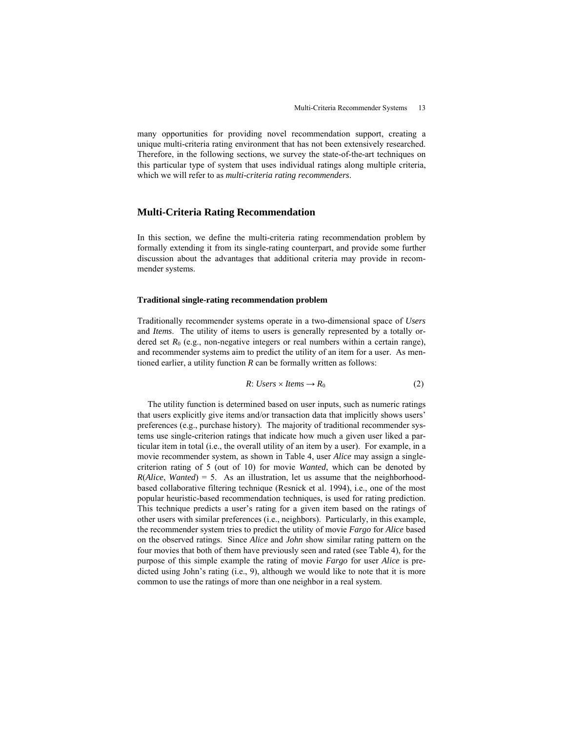many opportunities for providing novel recommendation support, creating a unique multi-criteria rating environment that has not been extensively researched. Therefore, in the following sections, we survey the state-of-the-art techniques on this particular type of system that uses individual ratings along multiple criteria, which we will refer to as *multi-criteria rating recommenders*.

# **Multi-Criteria Rating Recommendation**

In this section, we define the multi-criteria rating recommendation problem by formally extending it from its single-rating counterpart, and provide some further discussion about the advantages that additional criteria may provide in recommender systems.

### **Traditional single-rating recommendation problem**

Traditionally recommender systems operate in a two-dimensional space of *Users* and *Items*. The utility of items to users is generally represented by a totally ordered set  $R_0$  (e.g., non-negative integers or real numbers within a certain range), and recommender systems aim to predict the utility of an item for a user. As mentioned earlier, a utility function *R* can be formally written as follows:

$$
R: Users \times items \rightarrow R_0 \tag{2}
$$

The utility function is determined based on user inputs, such as numeric ratings that users explicitly give items and/or transaction data that implicitly shows users' preferences (e.g., purchase history). The majority of traditional recommender systems use single-criterion ratings that indicate how much a given user liked a particular item in total (i.e., the overall utility of an item by a user). For example, in a movie recommender system, as shown in Table 4, user *Alice* may assign a singlecriterion rating of 5 (out of 10) for movie *Wanted*, which can be denoted by  $R(Alice, Wanted) = 5$ . As an illustration, let us assume that the neighborhoodbased collaborative filtering technique (Resnick et al. 1994), i.e., one of the most popular heuristic-based recommendation techniques, is used for rating prediction. This technique predicts a user's rating for a given item based on the ratings of other users with similar preferences (i.e., neighbors). Particularly, in this example, the recommender system tries to predict the utility of movie *Fargo* for *Alice* based on the observed ratings. Since *Alice* and *John* show similar rating pattern on the four movies that both of them have previously seen and rated (see Table 4), for the purpose of this simple example the rating of movie *Fargo* for user *Alice* is predicted using John's rating (i.e., 9), although we would like to note that it is more common to use the ratings of more than one neighbor in a real system.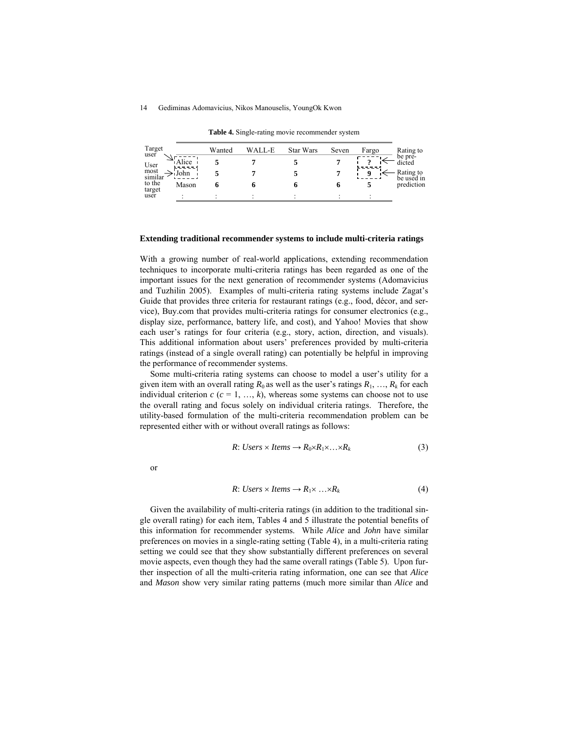| Target           |       | Wanted | WALL-E | <b>Star Wars</b> | Seven | Fargo | Rating to               |
|------------------|-------|--------|--------|------------------|-------|-------|-------------------------|
| user<br>User     | Alice |        |        |                  |       | ച     | be pre-<br>dicted       |
| most<br>similar  | John  |        |        |                  |       |       | Rating to<br>be used in |
| to the<br>target | Mason |        |        | n                |       |       | prediction              |
| user             | ٠     |        |        |                  |       |       |                         |

**Table 4.** Single-rating movie recommender system

### **Extending traditional recommender systems to include multi-criteria ratings**

With a growing number of real-world applications, extending recommendation techniques to incorporate multi-criteria ratings has been regarded as one of the important issues for the next generation of recommender systems (Adomavicius and Tuzhilin 2005). Examples of multi-criteria rating systems include Zagat's Guide that provides three criteria for restaurant ratings (e.g., food, décor, and service), Buy.com that provides multi-criteria ratings for consumer electronics (e.g., display size, performance, battery life, and cost), and Yahoo! Movies that show each user's ratings for four criteria (e.g., story, action, direction, and visuals). This additional information about users' preferences provided by multi-criteria ratings (instead of a single overall rating) can potentially be helpful in improving the performance of recommender systems.

Some multi-criteria rating systems can choose to model a user's utility for a given item with an overall rating  $R_0$  as well as the user's ratings  $R_1, \ldots, R_k$  for each individual criterion  $c$  ( $c = 1, ..., k$ ), whereas some systems can choose not to use the overall rating and focus solely on individual criteria ratings. Therefore, the utility-based formulation of the multi-criteria recommendation problem can be represented either with or without overall ratings as follows:

$$
R: Users \times items \rightarrow R_0 \times R_1 \times ... \times R_k \tag{3}
$$

or

$$
R: Users \times items \rightarrow R_1 \times ... \times R_k \tag{4}
$$

Given the availability of multi-criteria ratings (in addition to the traditional single overall rating) for each item, Tables 4 and 5 illustrate the potential benefits of this information for recommender systems. While *Alice* and *John* have similar preferences on movies in a single-rating setting (Table 4), in a multi-criteria rating setting we could see that they show substantially different preferences on several movie aspects, even though they had the same overall ratings (Table 5). Upon further inspection of all the multi-criteria rating information, one can see that *Alice* and *Mason* show very similar rating patterns (much more similar than *Alice* and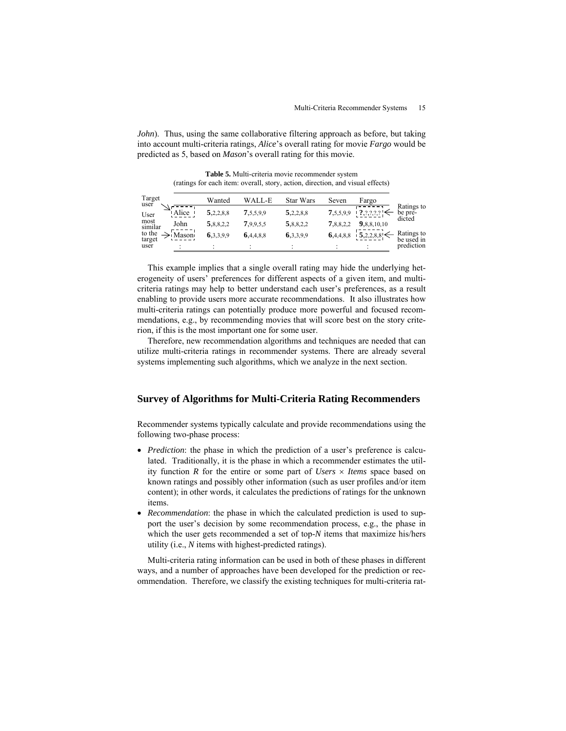*John*). Thus, using the same collaborative filtering approach as before, but taking into account multi-criteria ratings, *Alice*'s overall rating for movie *Fargo* would be predicted as 5, based on *Mason*'s overall rating for this movie.

**Table 5.** Multi-criteria movie recommender system (ratings for each item: overall, story, action, direction, and visual effects)

| Target<br>user          |         | Wanted    | WALL-E    | Star Wars | Seven     | Fargo                    | Ratings to               |
|-------------------------|---------|-----------|-----------|-----------|-----------|--------------------------|--------------------------|
| User<br>most<br>similar | Alice   | 5,2,2,8,8 | 7,5,5,9,9 | 5,2,2,8,8 | 7,5,5,9,9 | 2,2,2,2,2                | be pre-<br>dicted        |
|                         | John    | 5,8,8,2,2 | 7,9,9,5,5 | 5,8,8,2,2 | 7,8,8,2,2 | 9,8,8,10,10              |                          |
| to the<br>target        | · Mason | 6,3,3,9,9 | 6,4,4,8,8 | 6,3,3,9,9 | 6,4,4,8,8 | $5,2,2,8,8$ <sup>1</sup> | Ratings to<br>be used in |
| user                    | ٠       |           | ۰         |           | ٠         | $\cdot$                  | prediction               |

This example implies that a single overall rating may hide the underlying heterogeneity of users' preferences for different aspects of a given item, and multicriteria ratings may help to better understand each user's preferences, as a result enabling to provide users more accurate recommendations. It also illustrates how multi-criteria ratings can potentially produce more powerful and focused recommendations, e.g., by recommending movies that will score best on the story criterion, if this is the most important one for some user.

Therefore, new recommendation algorithms and techniques are needed that can utilize multi-criteria ratings in recommender systems. There are already several systems implementing such algorithms, which we analyze in the next section.

# **Survey of Algorithms for Multi-Criteria Rating Recommenders**

Recommender systems typically calculate and provide recommendations using the following two-phase process:

- *Prediction*: the phase in which the prediction of a user's preference is calculated. Traditionally, it is the phase in which a recommender estimates the utility function *R* for the entire or some part of *Users* × *Items* space based on known ratings and possibly other information (such as user profiles and/or item content); in other words, it calculates the predictions of ratings for the unknown items.
- *Recommendation*: the phase in which the calculated prediction is used to support the user's decision by some recommendation process, e.g., the phase in which the user gets recommended a set of top-*N* items that maximize his/hers utility (i.e., *N* items with highest-predicted ratings).

Multi-criteria rating information can be used in both of these phases in different ways, and a number of approaches have been developed for the prediction or recommendation. Therefore, we classify the existing techniques for multi-criteria rat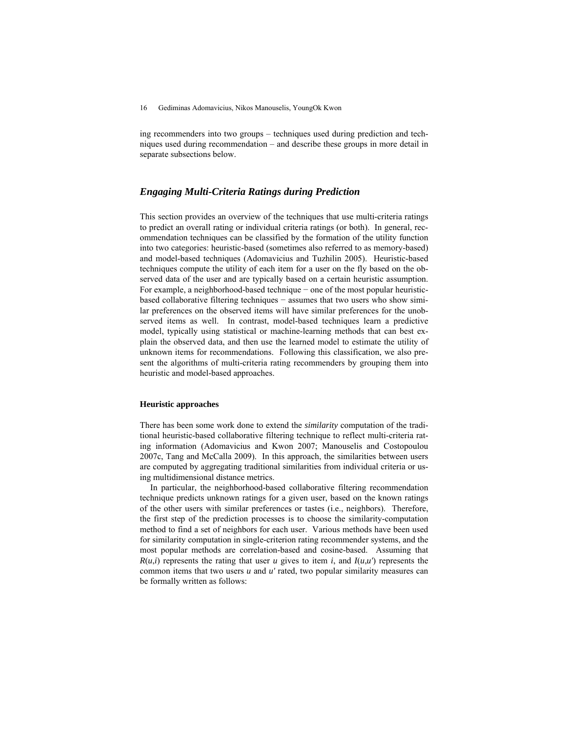ing recommenders into two groups – techniques used during prediction and techniques used during recommendation – and describe these groups in more detail in separate subsections below.

# *Engaging Multi-Criteria Ratings during Prediction*

This section provides an overview of the techniques that use multi-criteria ratings to predict an overall rating or individual criteria ratings (or both). In general, recommendation techniques can be classified by the formation of the utility function into two categories: heuristic-based (sometimes also referred to as memory-based) and model-based techniques (Adomavicius and Tuzhilin 2005). Heuristic-based techniques compute the utility of each item for a user on the fly based on the observed data of the user and are typically based on a certain heuristic assumption. For example, a neighborhood-based technique − one of the most popular heuristicbased collaborative filtering techniques − assumes that two users who show similar preferences on the observed items will have similar preferences for the unobserved items as well. In contrast, model-based techniques learn a predictive model, typically using statistical or machine-learning methods that can best explain the observed data, and then use the learned model to estimate the utility of unknown items for recommendations. Following this classification, we also present the algorithms of multi-criteria rating recommenders by grouping them into heuristic and model-based approaches.

#### **Heuristic approaches**

There has been some work done to extend the *similarity* computation of the traditional heuristic-based collaborative filtering technique to reflect multi-criteria rating information (Adomavicius and Kwon 2007; Manouselis and Costopoulou 2007c, Tang and McCalla 2009). In this approach, the similarities between users are computed by aggregating traditional similarities from individual criteria or using multidimensional distance metrics.

In particular, the neighborhood-based collaborative filtering recommendation technique predicts unknown ratings for a given user, based on the known ratings of the other users with similar preferences or tastes (i.e., neighbors). Therefore, the first step of the prediction processes is to choose the similarity-computation method to find a set of neighbors for each user. Various methods have been used for similarity computation in single-criterion rating recommender systems, and the most popular methods are correlation-based and cosine-based. Assuming that  $R(u,i)$  represents the rating that user *u* gives to item *i*, and  $I(u,u')$  represents the common items that two users *u* and *u'* rated, two popular similarity measures can be formally written as follows: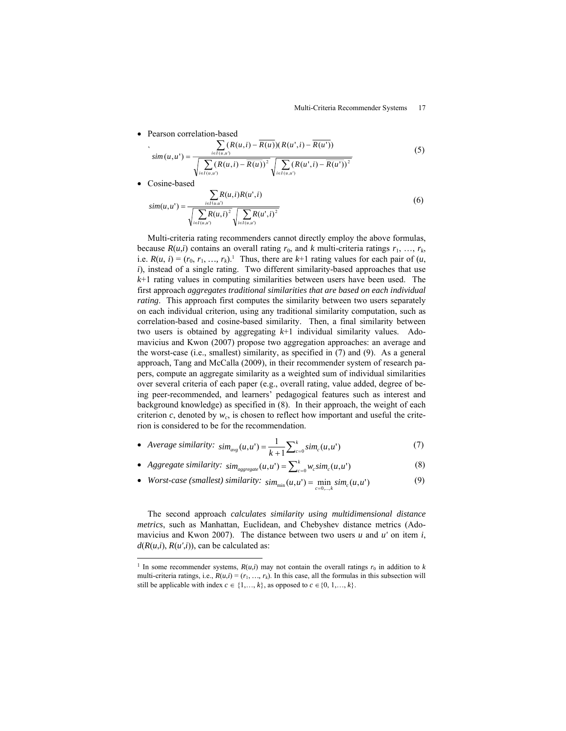• Pearson correlation-based

$$
sim(u, u') = \frac{\sum_{i \in I(u, u')} (R(u, i) - \overline{R(u)})(R(u', i) - \overline{R(u')})}{\sqrt{\sum_{i \in I(u, u')} (R(u, i) - \overline{R(u)})^2} \sqrt{\sum_{i \in I(u, u')} (R(u', i) - \overline{R(u')})^2}}
$$
(5)

• Cosine-based

`

l

$$
sim(u, u') = \frac{\sum_{i \in I(u, u')} R(u, i) R(u', i)}{\sqrt{\sum_{i \in I(u, u')} R(u, i)^2} \sqrt{\sum_{i \in I(u, u')} R(u', i)^2}}
$$
(6)

Multi-criteria rating recommenders cannot directly employ the above formulas, because  $R(u,i)$  contains an overall rating  $r_0$ , and *k* multi-criteria ratings  $r_1, \ldots, r_k$ , i.e.  $R(u, i) = (r_0, r_1, \ldots, r_k)$ .<sup>1</sup> Thus, there are  $k+1$  rating values for each pair of  $(u,$ *i*), instead of a single rating. Two different similarity-based approaches that use *k*+1 rating values in computing similarities between users have been used. The first approach *aggregates traditional similarities that are based on each individual rating*. This approach first computes the similarity between two users separately on each individual criterion, using any traditional similarity computation, such as correlation-based and cosine-based similarity. Then, a final similarity between two users is obtained by aggregating *k*+1 individual similarity values. Adomavicius and Kwon (2007) propose two aggregation approaches: an average and the worst-case (i.e., smallest) similarity, as specified in (7) and (9). As a general approach, Tang and McCalla (2009), in their recommender system of research papers, compute an aggregate similarity as a weighted sum of individual similarities over several criteria of each paper (e.g., overall rating, value added, degree of being peer-recommended, and learners' pedagogical features such as interest and background knowledge) as specified in (8). In their approach, the weight of each criterion  $c$ , denoted by  $w_c$ , is chosen to reflect how important and useful the criterion is considered to be for the recommendation.

- *Average similarity:*  $\sin_{avg}(u, u') = \frac{1}{k+1} \sum_{c=0}^{k} \sin_{c}(u, u')$  (7)
- *Aggregate similarity:*  $\sin_{\text{aggregate}}(u, u') = \sum_{c=0}^{k} w_c \sin_c(u, u')$  (8)
- *Worst-case (smallest) similarity:*  $\lim_{m \to \infty} (u, u') = \min_{c=0} \lim_{k} \lim_{c} (u, u')$  (9)

The second approach *calculates similarity using multidimensional distance metrics*, such as Manhattan, Euclidean, and Chebyshev distance metrics (Adomavicius and Kwon 2007). The distance between two users *u* and *u'* on item *i*,  $d(R(u,i), R(u',i))$ , can be calculated as:

<sup>&</sup>lt;sup>1</sup> In some recommender systems,  $R(u,i)$  may not contain the overall ratings  $r_0$  in addition to  $k$ multi-criteria ratings, i.e.,  $R(u,i) = (r_1, ..., r_k)$ . In this case, all the formulas in this subsection will still be applicable with index  $c \in \{1, \ldots, k\}$ , as opposed to  $c \in \{0, 1, \ldots, k\}$ .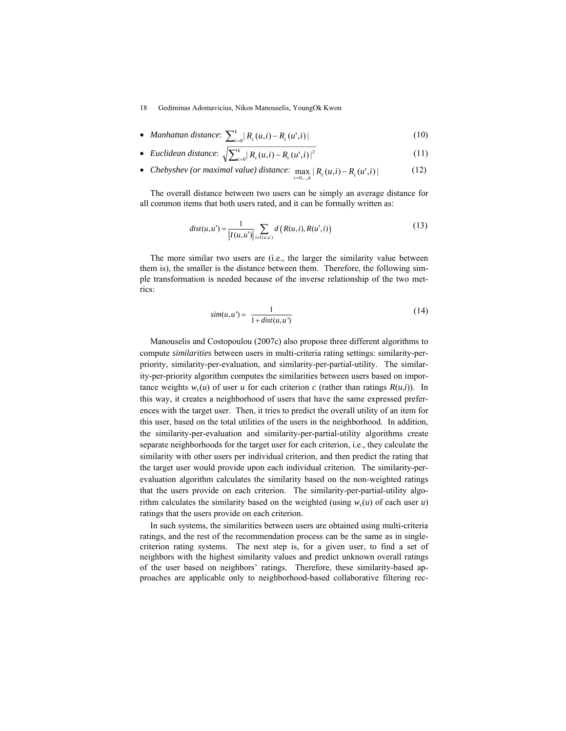• *Manhattan distance*: 
$$
\sum_{c=0}^{k} |R_c(u,i) - R_c(u',i)|
$$
 (10)

• Euclidean distance: 
$$
\sqrt{\sum_{c=0}^{k} |R_c(u,i) - R_c(u',i)|^2}
$$
 (11)

• Chebyshev (or maximal value) distance: 
$$
\max_{c=0,\ldots,k} |R_c(u,i) - R_c(u^*,i)|
$$
 (12)

The overall distance between two users can be simply an average distance for all common items that both users rated, and it can be formally written as:

$$
dist(u, u') = \frac{1}{|I(u, u')|} \sum_{i \in I(u, u')} d\left(R(u, i), R(u', i)\right)
$$
\n(13)

The more similar two users are (i.e., the larger the similarity value between them is), the smaller is the distance between them. Therefore, the following simple transformation is needed because of the inverse relationship of the two metrics:

$$
sim(u, u') = \frac{1}{1 + dist(u, u')}
$$
\n(14)

Manouselis and Costopoulou (2007c) also propose three different algorithms to compute *similarities* between users in multi-criteria rating settings: similarity-perpriority, similarity-per-evaluation, and similarity-per-partial-utility. The similarity-per-priority algorithm computes the similarities between users based on importance weights  $w_c(u)$  of user *u* for each criterion *c* (rather than ratings  $R(u,i)$ ). In this way, it creates a neighborhood of users that have the same expressed preferences with the target user. Then, it tries to predict the overall utility of an item for this user, based on the total utilities of the users in the neighborhood. In addition, the similarity-per-evaluation and similarity-per-partial-utility algorithms create separate neighborhoods for the target user for each criterion, i.e., they calculate the similarity with other users per individual criterion, and then predict the rating that the target user would provide upon each individual criterion. The similarity-perevaluation algorithm calculates the similarity based on the non-weighted ratings that the users provide on each criterion. The similarity-per-partial-utility algorithm calculates the similarity based on the weighted (using  $w_c(u)$  of each user *u*) ratings that the users provide on each criterion.

In such systems, the similarities between users are obtained using multi-criteria ratings, and the rest of the recommendation process can be the same as in singlecriterion rating systems. The next step is, for a given user, to find a set of neighbors with the highest similarity values and predict unknown overall ratings of the user based on neighbors' ratings. Therefore, these similarity-based approaches are applicable only to neighborhood-based collaborative filtering rec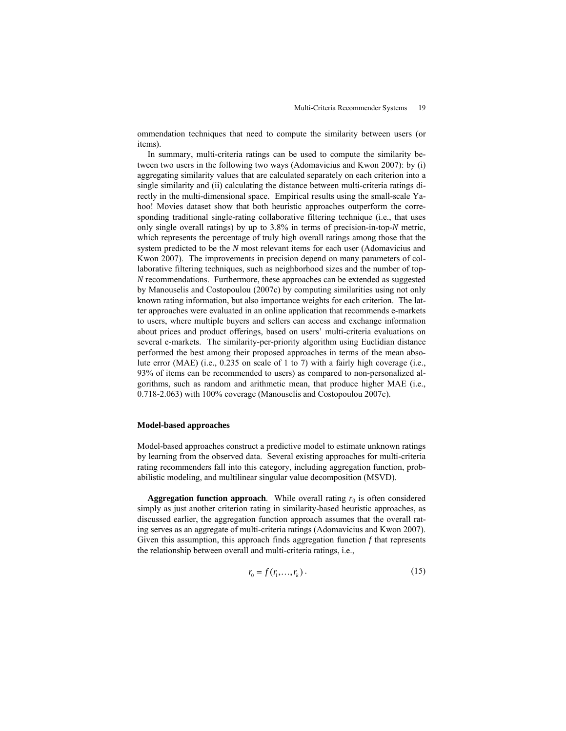ommendation techniques that need to compute the similarity between users (or items).

In summary, multi-criteria ratings can be used to compute the similarity between two users in the following two ways (Adomavicius and Kwon 2007): by (i) aggregating similarity values that are calculated separately on each criterion into a single similarity and (ii) calculating the distance between multi-criteria ratings directly in the multi-dimensional space. Empirical results using the small-scale Yahoo! Movies dataset show that both heuristic approaches outperform the corresponding traditional single-rating collaborative filtering technique (i.e., that uses only single overall ratings) by up to 3.8% in terms of precision-in-top-*N* metric, which represents the percentage of truly high overall ratings among those that the system predicted to be the *N* most relevant items for each user (Adomavicius and Kwon 2007). The improvements in precision depend on many parameters of collaborative filtering techniques, such as neighborhood sizes and the number of top-*N* recommendations. Furthermore, these approaches can be extended as suggested by Manouselis and Costopoulou (2007c) by computing similarities using not only known rating information, but also importance weights for each criterion. The latter approaches were evaluated in an online application that recommends e-markets to users, where multiple buyers and sellers can access and exchange information about prices and product offerings, based on users' multi-criteria evaluations on several e-markets. The similarity-per-priority algorithm using Euclidian distance performed the best among their proposed approaches in terms of the mean absolute error (MAE) (i.e., 0.235 on scale of 1 to 7) with a fairly high coverage (i.e., 93% of items can be recommended to users) as compared to non-personalized algorithms, such as random and arithmetic mean, that produce higher MAE (i.e., 0.718-2.063) with 100% coverage (Manouselis and Costopoulou 2007c).

### **Model-based approaches**

Model-based approaches construct a predictive model to estimate unknown ratings by learning from the observed data. Several existing approaches for multi-criteria rating recommenders fall into this category, including aggregation function, probabilistic modeling, and multilinear singular value decomposition (MSVD).

**Aggregation function approach**. While overall rating  $r_0$  is often considered simply as just another criterion rating in similarity-based heuristic approaches, as discussed earlier, the aggregation function approach assumes that the overall rating serves as an aggregate of multi-criteria ratings (Adomavicius and Kwon 2007). Given this assumption, this approach finds aggregation function *f* that represents the relationship between overall and multi-criteria ratings, i.e.,

$$
r_0 = f(r_1, \ldots, r_k). \tag{15}
$$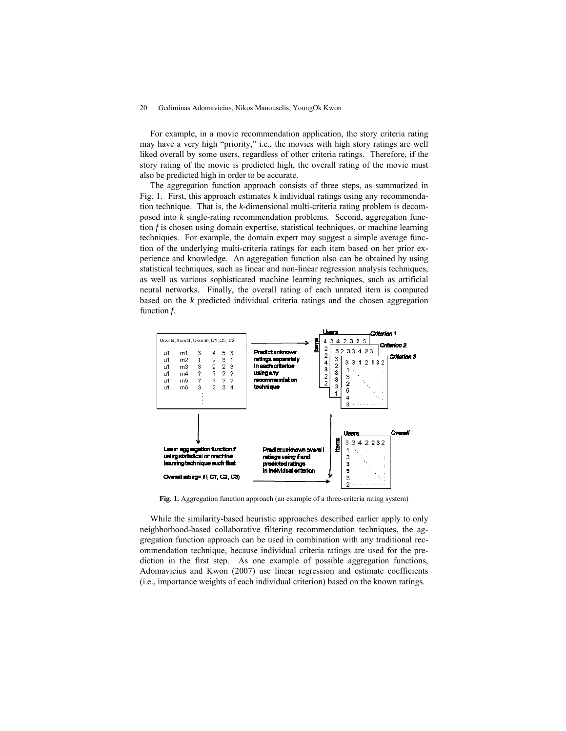For example, in a movie recommendation application, the story criteria rating may have a very high "priority," i.e., the movies with high story ratings are well liked overall by some users, regardless of other criteria ratings. Therefore, if the story rating of the movie is predicted high, the overall rating of the movie must also be predicted high in order to be accurate.

The aggregation function approach consists of three steps, as summarized in Fig. 1. First, this approach estimates *k* individual ratings using any recommendation technique. That is, the *k*-dimensional multi-criteria rating problem is decomposed into *k* single-rating recommendation problems. Second, aggregation function *f* is chosen using domain expertise, statistical techniques, or machine learning techniques. For example, the domain expert may suggest a simple average function of the underlying multi-criteria ratings for each item based on her prior experience and knowledge. An aggregation function also can be obtained by using statistical techniques, such as linear and non-linear regression analysis techniques, as well as various sophisticated machine learning techniques, such as artificial neural networks. Finally, the overall rating of each unrated item is computed based on the *k* predicted individual criteria ratings and the chosen aggregation function *f*.



**Fig. 1.** Aggregation function approach (an example of a three-criteria rating system)

While the similarity-based heuristic approaches described earlier apply to only neighborhood-based collaborative filtering recommendation techniques, the aggregation function approach can be used in combination with any traditional recommendation technique, because individual criteria ratings are used for the prediction in the first step. As one example of possible aggregation functions, Adomavicius and Kwon (2007) use linear regression and estimate coefficients (i.e., importance weights of each individual criterion) based on the known ratings.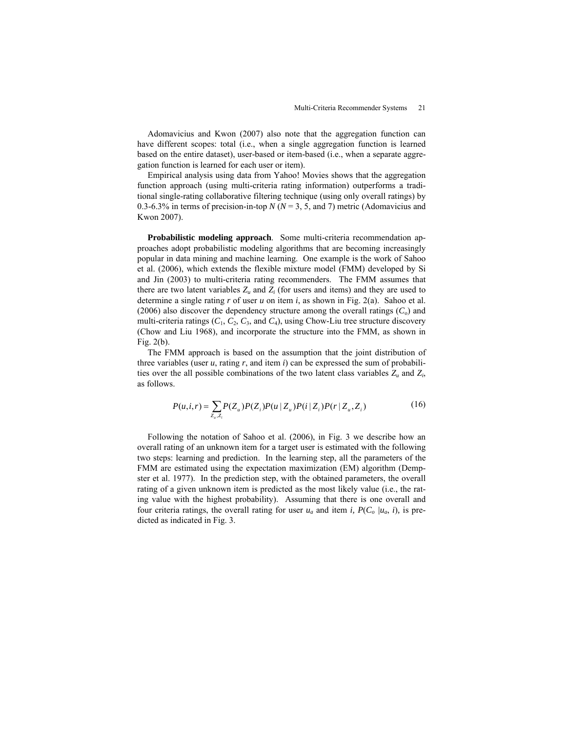Adomavicius and Kwon (2007) also note that the aggregation function can have different scopes: total (i.e., when a single aggregation function is learned based on the entire dataset), user-based or item-based (i.e., when a separate aggregation function is learned for each user or item).

Empirical analysis using data from Yahoo! Movies shows that the aggregation function approach (using multi-criteria rating information) outperforms a traditional single-rating collaborative filtering technique (using only overall ratings) by 0.3-6.3% in terms of precision-in-top  $N (N = 3, 5, \text{ and } 7)$  metric (Adomavicius and Kwon 2007).

**Probabilistic modeling approach**. Some multi-criteria recommendation approaches adopt probabilistic modeling algorithms that are becoming increasingly popular in data mining and machine learning. One example is the work of Sahoo et al. (2006), which extends the flexible mixture model (FMM) developed by Si and Jin (2003) to multi-criteria rating recommenders. The FMM assumes that there are two latent variables  $Z_u$  and  $Z_i$  (for users and items) and they are used to determine a single rating *r* of user *u* on item *i*, as shown in Fig. 2(a). Sahoo et al. (2006) also discover the dependency structure among the overall ratings  $(C_0)$  and multi-criteria ratings  $(C_1, C_2, C_3, \text{ and } C_4)$ , using Chow-Liu tree structure discovery (Chow and Liu 1968), and incorporate the structure into the FMM, as shown in Fig. 2(b).

The FMM approach is based on the assumption that the joint distribution of three variables (user  $u$ , rating  $r$ , and item  $i$ ) can be expressed the sum of probabilities over the all possible combinations of the two latent class variables  $Z_u$  and  $Z_i$ , as follows.

$$
P(u,i,r) = \sum_{Z_u, Z_i} P(Z_u) P(Z_i) P(u | Z_u) P(i | Z_i) P(r | Z_u, Z_i)
$$
 (16)

Following the notation of Sahoo et al. (2006), in Fig. 3 we describe how an overall rating of an unknown item for a target user is estimated with the following two steps: learning and prediction. In the learning step, all the parameters of the FMM are estimated using the expectation maximization (EM) algorithm (Dempster et al. 1977). In the prediction step, with the obtained parameters, the overall rating of a given unknown item is predicted as the most likely value (i.e., the rating value with the highest probability). Assuming that there is one overall and four criteria ratings, the overall rating for user  $u_a$  and item *i*,  $P(C_o | u_a, i)$ , is predicted as indicated in Fig. 3.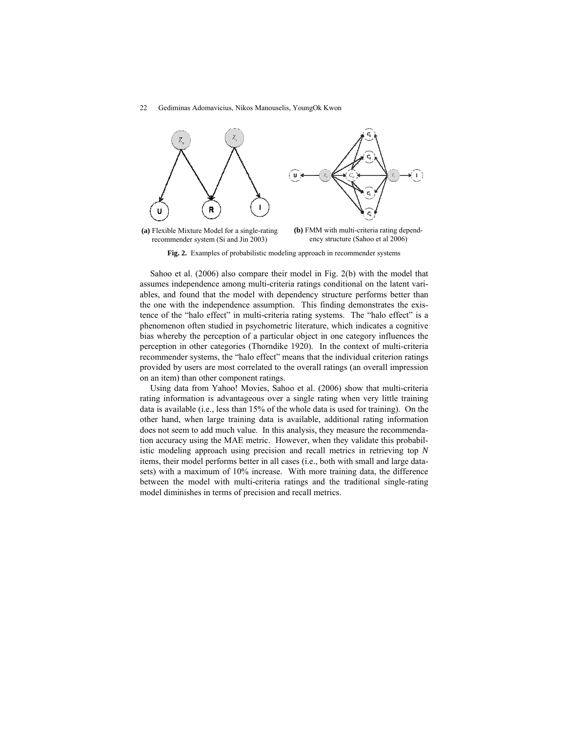

**Fig. 2.** Examples of probabilistic modeling approach in recommender systems

Sahoo et al. (2006) also compare their model in Fig. 2(b) with the model that assumes independence among multi-criteria ratings conditional on the latent variables, and found that the model with dependency structure performs better than the one with the independence assumption. This finding demonstrates the existence of the "halo effect" in multi-criteria rating systems. The "halo effect" is a phenomenon often studied in psychometric literature, which indicates a cognitive bias whereby the perception of a particular object in one category influences the perception in other categories (Thorndike 1920). In the context of multi-criteria recommender systems, the "halo effect" means that the individual criterion ratings provided by users are most correlated to the overall ratings (an overall impression on an item) than other component ratings.

Using data from Yahoo! Movies, Sahoo et al. (2006) show that multi-criteria rating information is advantageous over a single rating when very little training data is available (i.e., less than 15% of the whole data is used for training). On the other hand, when large training data is available, additional rating information does not seem to add much value. In this analysis, they measure the recommendation accuracy using the MAE metric. However, when they validate this probabilistic modeling approach using precision and recall metrics in retrieving top *N* items, their model performs better in all cases (i.e., both with small and large datasets) with a maximum of 10% increase. With more training data, the difference between the model with multi-criteria ratings and the traditional single-rating model diminishes in terms of precision and recall metrics.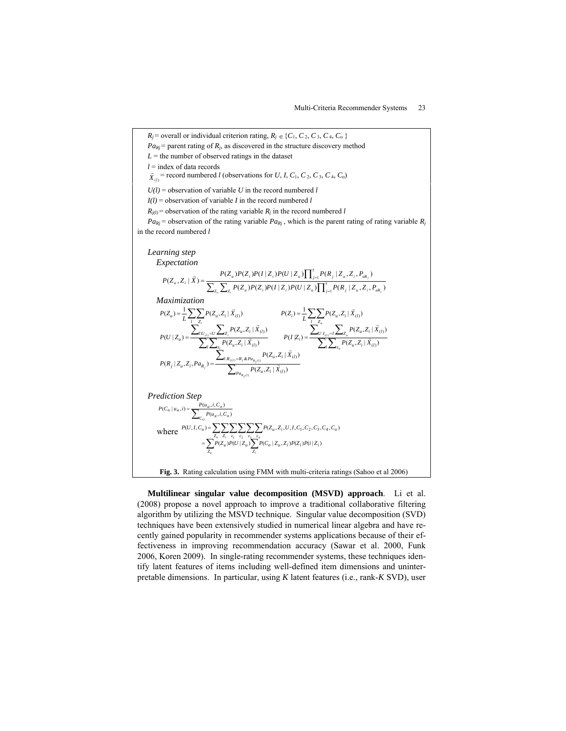*R<sub>j</sub>* = overall or individual criterion rating,  $R_j \in \{C_1, C_2, C_3, C_4, C_9\}$  $Pa_{Rj}$  = parent rating of  $R_j$ , as discovered in the structure discovery method  $L =$  the number of observed ratings in the dataset  $l =$  index of data records  $\frac{d}{d}$   $\sum_{i=1}^{n}$  = record numbered *l* (observations for *U*, *I*, *C*<sub>1</sub>, *C*<sub>2</sub>, *C*<sub>3</sub>, *C*<sub>4</sub>, *C<sub>o</sub>*)  $U(l)$  = observation of variable *U* in the record numbered *l*  $I(l)$  = observation of variable *I* in the record numbered *l*  $R_{i(l)}$  = observation of the rating variable  $R_i$  in the record numbered *l*  $Pa_{Rj}$  = observation of the rating variable  $Pa_{Rj}$ , which is the parent rating of rating variable  $R_j$ in the record numbered *l Learning step Expectation*  $\sum_{Z_u} \sum_{Z_i} P(Z_u) P(Z_i) P(I | Z_i) P(U | Z_u) \prod$ ∏ =  $=\frac{\left( \sum_{u} \sum_{i} (\sum_{j} \sum_{i} (\sum_{j} \sum_{j} (\sum_{j} \sum_{j} (\sum_{j} \sum_{j} \sum_{j} \sum_{k} \sum_{jk}))) \right)}{\sum_{j=1}^{k} (\sum_{j} \sum_{j} (\sum_{j} \sum_{j} (\sum_{j} \sum_{j} \sum_{jk} \sum_{k} \sum_{k})))}$  $\sum_{u}$   $\sum_{i}$   $\sum_{u}$   $\sum_{v}$   $\sum_{v}$   $\sum_{v}$   $\sum_{v}$   $\sum_{v}$   $\sum_{v}$   $\sum_{v}$   $\sum_{v}$   $\sum_{v}$   $\sum_{v}$   $\sum_{v}$   $\sum_{v}$   $\sum_{v}$   $\sum_{v}$   $\sum_{v}$   $\sum_{v}$   $\sum_{v}$  $Z_{u} \nightharpoonup Z_{i}^{T}$   $(E_{u})^{T} (E_{i})^{T} (E | E_{i})^{T} (U | E_{u})$   $\prod_{j=1}^{r} (K_{j} | E_{u}, E_{i}, E_{i})$  $_{u_1}Z_{i_1}|\vec{X}) = \frac{P(Z_{u_1})P(Z_{i_1})P(Z_{i_1})P(Z_{i_1})P(Z_{i_1})P(Z_{i_1})P(Z_{i_1})P(Z_{i_1})P(Z_{i_1})P(Z_{i_1})P(Z_{i_1})P(Z_{i_1})P(Z_{i_1})P(Z_{i_1})P(Z_{i_1})P(Z_{i_1})P(Z_{i_1})P(Z_{i_1})P(Z_{i_1})P(Z_{i_1})P(Z_{i_1})P(Z_{i_1})P(Z_{i_1})P(Z_{i_1})P(Z_{i_1})P(Z_{i_1})P(Z_{i_1})P(Z_{i_1})P(Z_{i$  $P(Z_u, Z_i | \vec{X}) = \frac{P(Z_u)P(Z_i)P(I | Z_i)P(U | Z_u) \prod_{j=1}^3 P(R_j | Z_u, Z_i, P_u)}{\sum_{Z_u} \sum_{Z_i} P(Z_u)P(Z_i)P(I | Z_i)P(U | Z_u) \prod_{j=1}^5 P(R_j | Z_u, Z_u)}$ 5 1  $(Z_u)P(Z_i)P(I | Z_i)P(U | Z_u)$   $\Box$   $P(R_i | Z_u, Z_i, P_{ak})$  $(Z_u, Z_i | \vec{X}) = \frac{P(Z_u)P(Z_i)P(I | Z_i)P(U | Z_u) \prod_{j=1}^3 P(R_j | Z_u, Z_i, P_{aR_j})}{P(Z_u | Z_u, Z_i | \vec{X})}$  *Maximization*  $(Z_{u}, Z_{i} | X_{(l)})$  $(Z_u, Z_i | X_{(l)})$  $(R_i | Z_u, Z_i, Pa_R)$  $(Z_u, Z_i | X_{(l)})$  $(Z_u, Z_i | X_{(l)})$  $\frac{r_i}{(Z_u, Z_i | \vec{X}_{(l)})}$   $P(I | Z_i)$  $(Z_u, Z_i | X_{(l)})$  $(U | Z_u)$  $(Z_u) = \frac{1}{2} \sum P(Z_u, Z_i | \vec{X}_{(i)})$   $P(Z_i) = \frac{1}{2} \sum P(Z_u, Z_i | \vec{X}_{(i)})$  $\left( l\right)$  $(l)$ <sup>- $N_j$ ( $k$ <sup>1</sup> $u_{R_j(l)}$ </sup>  $D(I|\mathcal{F})$   $D(I|\mathcal{F})$   $D(I|\mathcal{F})$  $\left( l\right)$  $: R_{i(i)} = R_i \& Pa_{n(i)}$   $\qquad \qquad$   $F(L_{ii}, L_i \mid \mathbf{A}(i))$  $\left( l\right)$  $\sum_{i,j=1}^{n} \sum_{\mathbf{Z}_u} F(\mathbf{Z}_u, \mathbf{Z}_i | \mathbf{A}_i)$  $\left( l\right)$  $\sum_{u \in U} \sum_{i=1}^r r(z_u, z_i \mid \Lambda_{(l)})$ (1)  $F(Z_i) = \frac{1}{I} \sum_i F(Z_i, Z_i | \Lambda_{(i)})$ ∑ ∑  $\overline{\sum_{i}\sum_{i}}$  $\sum_{U:I_{\alpha D}=I}\sum$  $\overline{\sum_{i}\sum}$  $\sum_{l:U_{\alpha n}=U}\sum$  $\sum P(Z_u, Z_i | \vec{X}_{(l)})$   $P(Z_i) = \frac{1}{I} \sum \sum$ =  $= U \Delta Z$ ,  $= U^T U$ =  $=$   $\frac{P(I|Z_i)}{P(I|Z_i)}$   $=$   $P(I|Z_i)$  =  $=$   $\rightarrow$   $\sum P(Z_u, Z_i | X_{(i)} )$   $P(Z_i) =$ *l Rj*  $\sum_{j}$   $\sum_{i}$   $\sum_{j}$   $\sum_{j}$   $\sum_{i}$   $\sum_{j}$   $\sum_{j}$   $\sum_{j}$ *u*  $(y - u)^{-1}$ *i*  $\mu$ <sup>-0</sup>  $\rightarrow$   $\mu$ <sup>*i*</sup> *i*  $u = L_u$  $P_{a_{n(i)}}$ <sup> $F(L_u, L_i | \Lambda_{(l)})$ </sup>  $\sum_{i} |Z_{u}, Z_{i}, Pa_{R_{i}}) = \frac{\sum_{l: R_{j(l)}} = R_{j} \& Pa_{R_{j(l)}}}{\sum_{l: R_{i,l}} P(z_{l}, Z_{l} | \vec{X}_{l})}$  $\sum_{z_u}$ <sup> $\Gamma$ </sup>  $\sum_u$ ,  $\sum_i |\Lambda_{ij}|$  $P(I|Z_i) = \frac{\sum_{U \cdot I_{ij}} I(Z_u, Z_i | \vec{X}_{(l)})}{\sum_{z_i} P(Z_u, Z_i | \vec{X}_{(l)})}$   $P(I|Z_i) = \frac{\sum_{U \cdot I_{(i)} = I} \sum_{z_u} P(Z_u, Z_i | \vec{X}_{(l)})}{\sum_{z_u} P(Z_u, Z_i | \vec{X}_{(l)})}$  $L_{u}$ ) =  $\frac{\sum_{l: U_{(l)}=U} \sum_{Z_{i}} P(Z_{u}, Z_{i} | X_{l})}{\sum_{Z_{i}} P(Z_{u}, Z_{v} | \vec{Y}_{u})}$  $I(L_i) = \frac{1}{L} \sum_i \sum_i f(L_i, L_i | \Lambda_{(i)})$ <br> $I(L_i) = \frac{1}{L} \sum_i \sum_i f(L_i, L_i | \Lambda_{(i)})$  $P(Z_u, Z_i | X$  $P(Z_u, Z_i | X$  $P(R_i | Z_u, Z_i, Pa)$  $P(Z_u, Z_i | X$  $P(Z_u, Z_i | X$  $\frac{P_{Z_i}}{P(Z_u, Z_i | \vec{X}_{(I)})}$   $P(I | Z_u)$  $P(Z_u, Z_i | X$  $P(U | Z)$  $P(Z_u) = \frac{1}{L} \sum_i \sum_{z} P(Z_u, Z_i \mid X_{(i)})$   $P(Z_i) = \frac{1}{L} \sum_i \sum_{z} P(Z_u, Z_i \mid X$  $\overline{a}$  $\overline{a}$ G  $\overline{a}$  $\overline{a}$  $\overline{a}$  $\overline{\phantom{a}}$   $\overline{\phantom{a}}$   $\overline{\phantom{a}}$   $\overline{\phantom{a}}$   $\overline{\phantom{a}}$   $\overline{\phantom{a}}$   $\overline{\phantom{a}}$   $\overline{\phantom{a}}$   $\overline{\phantom{a}}$   $\overline{\phantom{a}}$   $\overline{\phantom{a}}$   $\overline{\phantom{a}}$   $\overline{\phantom{a}}$   $\overline{\phantom{a}}$   $\overline{\phantom{a}}$   $\overline{\phantom{a}}$   $\overline{\phantom{a}}$   $\overline{\phantom{a}}$   $\overline{\$ *Prediction Step*   $=\frac{1}{2}$  $P(C_o | u_a, i) = \frac{P(u_a, i, C_o)}{\sum_{C_o} P(u_a, i, C_o)}$  where  $=$   $\sum P(Z_u)P(U|Z_u)$   $\sum P(C_o|Z_u, Z_i)P(Z_i)P(i|Z_i)$  $(U, I, C_{o}) = \sum \sum \sum \sum P(Z_{u}, Z_{i}, U, I, C_{1}, C_{2}, C_{3}, C_{4}, C_{o})$  $\sum_{i_1} \sum_{c_2} \sum_{c_3} \sum_{c_4} F(z_u, z_i, U, I, C_1, C_2, C_3, C_4)$  $\sum_{Z_u} P(Z_u) P(U | Z_u) \sum_{Z_i} P(C_o | Z_u, Z_i) P(Z_i) P(U | Z_i)$  $\sum_{Z_u} \sum_{Z_i} \sum_{c_1} \sum_{c_2} \sum_{c_3} \sum_{c_4} \sum_{c_4} P(Z_u, Z_i, U, I, C_1, C_2, C_3, C_4, C_0)$  $P(Z_u)P(U|Z_u)$   $\sum P(C_a|Z_u, Z_i)P(Z_i)P(i|Z_u)$  $P(U, I, C_{o}) = \sum_{i} \sum_{i} \sum_{j} \sum_{j} P(Z_{u}, Z_{i}, U, I, C_{1}, C_{2}, C_{3}, C_{4}, C_{7})$  $L_i$  $\sum_{i}^{Z_u} P(Z_u) P(U | Z_u) \sum_{i}^{C_3}$ ∑∑∑∑∑∑ =  $= \sum_{7} \sum_{7} \sum_{8} \sum_{8} \sum_{9} \sum_{9} P(Z_u, Z_i, U, I, C_1, C_2, C_3, C_4, C_6)$ **Fig. 3.** Rating calculation using FMM with multi-criteria ratings (Sahoo et al 2006)

**Multilinear singular value decomposition (MSVD) approach**. Li et al. (2008) propose a novel approach to improve a traditional collaborative filtering algorithm by utilizing the MSVD technique. Singular value decomposition (SVD) techniques have been extensively studied in numerical linear algebra and have recently gained popularity in recommender systems applications because of their effectiveness in improving recommendation accuracy (Sawar et al. 2000, Funk 2006, Koren 2009). In single-rating recommender systems, these techniques identify latent features of items including well-defined item dimensions and uninterpretable dimensions. In particular, using *K* latent features (i.e., rank-*K* SVD), user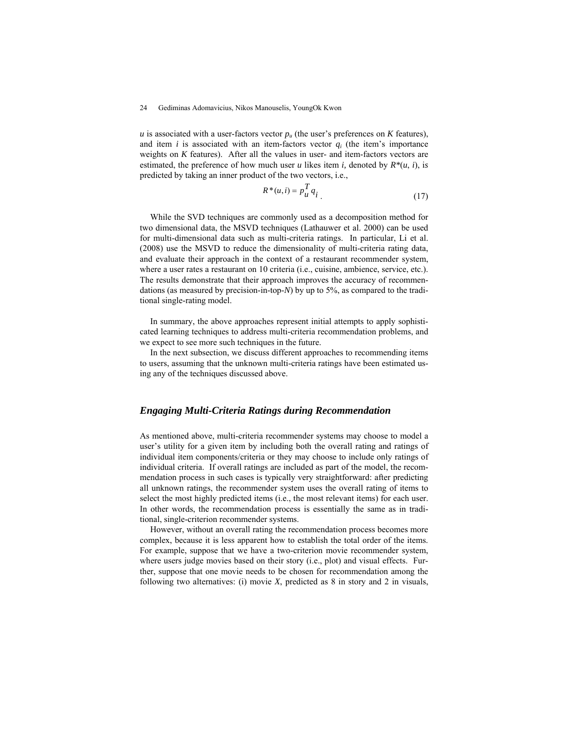*u* is associated with a user-factors vector *pu* (the user's preferences on *K* features), and item  $i$  is associated with an item-factors vector  $q_i$  (the item's importance weights on *K* features). After all the values in user- and item-factors vectors are estimated, the preference of how much user *u* likes item *i*, denoted by  $R^*(u, i)$ , is predicted by taking an inner product of the two vectors, i.e.,

$$
R^*(u,i) = p_u^T q_i \tag{17}
$$

While the SVD techniques are commonly used as a decomposition method for two dimensional data, the MSVD techniques (Lathauwer et al. 2000) can be used for multi-dimensional data such as multi-criteria ratings. In particular, Li et al. (2008) use the MSVD to reduce the dimensionality of multi-criteria rating data, and evaluate their approach in the context of a restaurant recommender system, where a user rates a restaurant on 10 criteria (i.e., cuisine, ambience, service, etc.). The results demonstrate that their approach improves the accuracy of recommendations (as measured by precision-in-top-*N*) by up to 5%, as compared to the traditional single-rating model.

In summary, the above approaches represent initial attempts to apply sophisticated learning techniques to address multi-criteria recommendation problems, and we expect to see more such techniques in the future.

In the next subsection, we discuss different approaches to recommending items to users, assuming that the unknown multi-criteria ratings have been estimated using any of the techniques discussed above.

# *Engaging Multi-Criteria Ratings during Recommendation*

As mentioned above, multi-criteria recommender systems may choose to model a user's utility for a given item by including both the overall rating and ratings of individual item components/criteria or they may choose to include only ratings of individual criteria. If overall ratings are included as part of the model, the recommendation process in such cases is typically very straightforward: after predicting all unknown ratings, the recommender system uses the overall rating of items to select the most highly predicted items (i.e., the most relevant items) for each user. In other words, the recommendation process is essentially the same as in traditional, single-criterion recommender systems.

However, without an overall rating the recommendation process becomes more complex, because it is less apparent how to establish the total order of the items. For example, suppose that we have a two-criterion movie recommender system, where users judge movies based on their story (i.e., plot) and visual effects. Further, suppose that one movie needs to be chosen for recommendation among the following two alternatives: (i) movie *X*, predicted as 8 in story and 2 in visuals,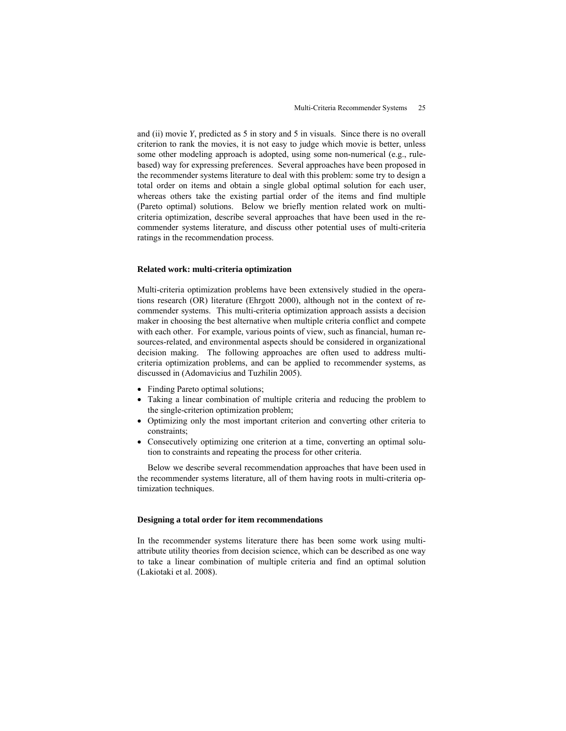and (ii) movie *Y*, predicted as 5 in story and 5 in visuals. Since there is no overall criterion to rank the movies, it is not easy to judge which movie is better, unless some other modeling approach is adopted, using some non-numerical (e.g., rulebased) way for expressing preferences. Several approaches have been proposed in the recommender systems literature to deal with this problem: some try to design a total order on items and obtain a single global optimal solution for each user, whereas others take the existing partial order of the items and find multiple (Pareto optimal) solutions. Below we briefly mention related work on multicriteria optimization, describe several approaches that have been used in the recommender systems literature, and discuss other potential uses of multi-criteria ratings in the recommendation process.

### **Related work: multi-criteria optimization**

Multi-criteria optimization problems have been extensively studied in the operations research (OR) literature (Ehrgott 2000), although not in the context of recommender systems. This multi-criteria optimization approach assists a decision maker in choosing the best alternative when multiple criteria conflict and compete with each other. For example, various points of view, such as financial, human resources-related, and environmental aspects should be considered in organizational decision making. The following approaches are often used to address multicriteria optimization problems, and can be applied to recommender systems, as discussed in (Adomavicius and Tuzhilin 2005).

- Finding Pareto optimal solutions;
- Taking a linear combination of multiple criteria and reducing the problem to the single-criterion optimization problem;
- Optimizing only the most important criterion and converting other criteria to constraints;
- Consecutively optimizing one criterion at a time, converting an optimal solution to constraints and repeating the process for other criteria.

Below we describe several recommendation approaches that have been used in the recommender systems literature, all of them having roots in multi-criteria optimization techniques.

### **Designing a total order for item recommendations**

In the recommender systems literature there has been some work using multiattribute utility theories from decision science, which can be described as one way to take a linear combination of multiple criteria and find an optimal solution (Lakiotaki et al. 2008).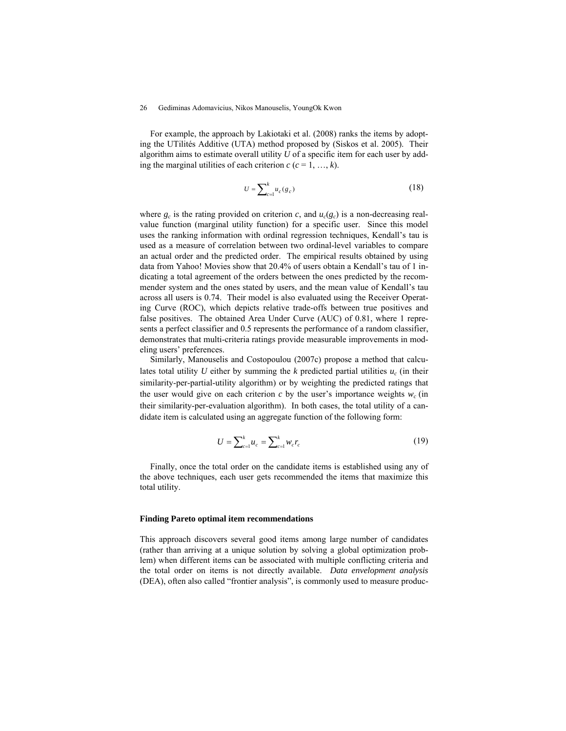For example, the approach by Lakiotaki et al. (2008) ranks the items by adopting the UTilités Additive (UTA) method proposed by (Siskos et al. 2005). Their algorithm aims to estimate overall utility *U* of a specific item for each user by adding the marginal utilities of each criterion  $c$  ( $c = 1, ..., k$ ).

$$
U = \sum_{c=1}^{k} u_c(g_c) \tag{18}
$$

where  $g_c$  is the rating provided on criterion *c*, and  $u_c(g_c)$  is a non-decreasing realvalue function (marginal utility function) for a specific user. Since this model uses the ranking information with ordinal regression techniques, Kendall's tau is used as a measure of correlation between two ordinal-level variables to compare an actual order and the predicted order. The empirical results obtained by using data from Yahoo! Movies show that 20.4% of users obtain a Kendall's tau of 1 indicating a total agreement of the orders between the ones predicted by the recommender system and the ones stated by users, and the mean value of Kendall's tau across all users is 0.74. Their model is also evaluated using the Receiver Operating Curve (ROC), which depicts relative trade-offs between true positives and false positives. The obtained Area Under Curve (AUC) of 0.81, where 1 represents a perfect classifier and 0.5 represents the performance of a random classifier, demonstrates that multi-criteria ratings provide measurable improvements in modeling users' preferences.

Similarly, Manouselis and Costopoulou (2007c) propose a method that calculates total utility *U* either by summing the *k* predicted partial utilities  $u_c$  (in their similarity-per-partial-utility algorithm) or by weighting the predicted ratings that the user would give on each criterion  $c$  by the user's importance weights  $w_c$  (in their similarity-per-evaluation algorithm). In both cases, the total utility of a candidate item is calculated using an aggregate function of the following form:

$$
U = \sum_{c=1}^{k} u_c = \sum_{c=1}^{k} w_c r_c \tag{19}
$$

Finally, once the total order on the candidate items is established using any of the above techniques, each user gets recommended the items that maximize this total utility.

### **Finding Pareto optimal item recommendations**

This approach discovers several good items among large number of candidates (rather than arriving at a unique solution by solving a global optimization problem) when different items can be associated with multiple conflicting criteria and the total order on items is not directly available. *Data envelopment analysis* (DEA), often also called "frontier analysis", is commonly used to measure produc-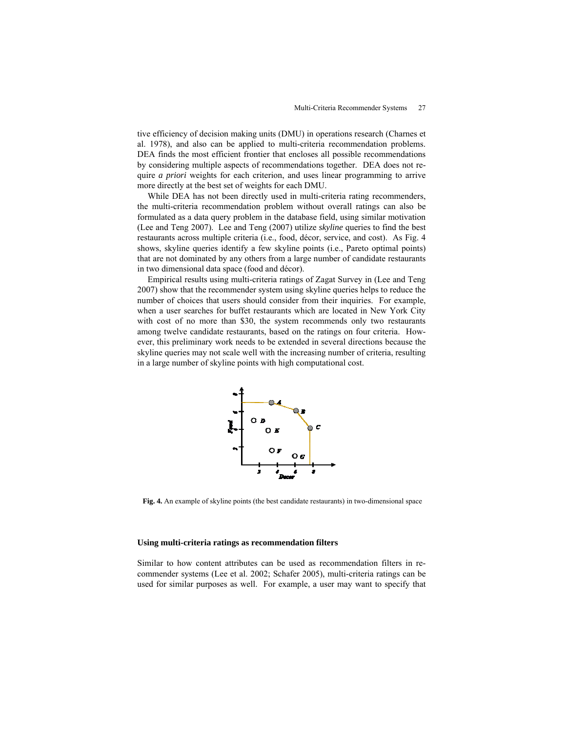tive efficiency of decision making units (DMU) in operations research (Charnes et al. 1978), and also can be applied to multi-criteria recommendation problems. DEA finds the most efficient frontier that encloses all possible recommendations by considering multiple aspects of recommendations together. DEA does not require *a priori* weights for each criterion, and uses linear programming to arrive more directly at the best set of weights for each DMU.

While DEA has not been directly used in multi-criteria rating recommenders, the multi-criteria recommendation problem without overall ratings can also be formulated as a data query problem in the database field, using similar motivation (Lee and Teng 2007). Lee and Teng (2007) utilize *skyline* queries to find the best restaurants across multiple criteria (i.e., food, décor, service, and cost). As Fig. 4 shows, skyline queries identify a few skyline points (i.e., Pareto optimal points) that are not dominated by any others from a large number of candidate restaurants in two dimensional data space (food and décor).

Empirical results using multi-criteria ratings of Zagat Survey in (Lee and Teng 2007) show that the recommender system using skyline queries helps to reduce the number of choices that users should consider from their inquiries. For example, when a user searches for buffet restaurants which are located in New York City with cost of no more than \$30, the system recommends only two restaurants among twelve candidate restaurants, based on the ratings on four criteria. However, this preliminary work needs to be extended in several directions because the skyline queries may not scale well with the increasing number of criteria, resulting in a large number of skyline points with high computational cost.



 **Fig. 4.** An example of skyline points (the best candidate restaurants) in two-dimensional space

### **Using multi-criteria ratings as recommendation filters**

Similar to how content attributes can be used as recommendation filters in recommender systems (Lee et al. 2002; Schafer 2005), multi-criteria ratings can be used for similar purposes as well. For example, a user may want to specify that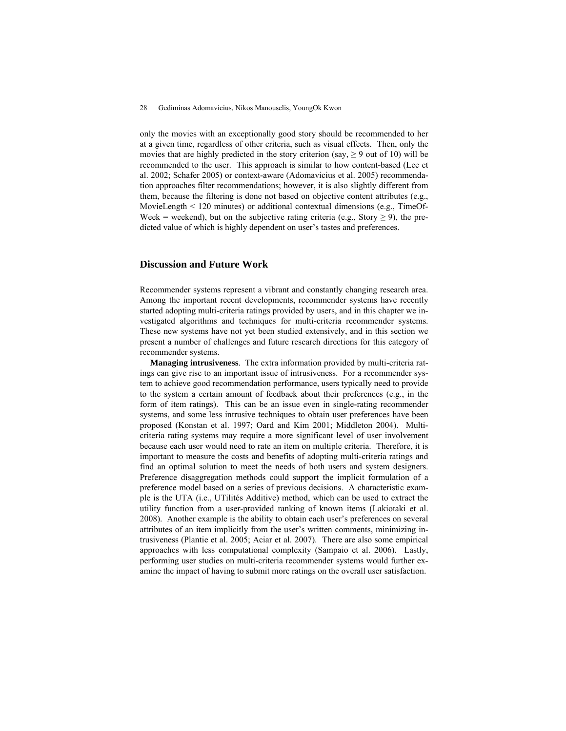only the movies with an exceptionally good story should be recommended to her at a given time, regardless of other criteria, such as visual effects. Then, only the movies that are highly predicted in the story criterion (say,  $\geq$  9 out of 10) will be recommended to the user. This approach is similar to how content-based (Lee et al. 2002; Schafer 2005) or context-aware (Adomavicius et al. 2005) recommendation approaches filter recommendations; however, it is also slightly different from them, because the filtering is done not based on objective content attributes (e.g., MovieLength < 120 minutes) or additional contextual dimensions (e.g., TimeOf-Week = weekend), but on the subjective rating criteria (e.g., Story  $\geq$  9), the predicted value of which is highly dependent on user's tastes and preferences.

### **Discussion and Future Work**

Recommender systems represent a vibrant and constantly changing research area. Among the important recent developments, recommender systems have recently started adopting multi-criteria ratings provided by users, and in this chapter we investigated algorithms and techniques for multi-criteria recommender systems. These new systems have not yet been studied extensively, and in this section we present a number of challenges and future research directions for this category of recommender systems.

**Managing intrusiveness**. The extra information provided by multi-criteria ratings can give rise to an important issue of intrusiveness. For a recommender system to achieve good recommendation performance, users typically need to provide to the system a certain amount of feedback about their preferences (e.g., in the form of item ratings). This can be an issue even in single-rating recommender systems, and some less intrusive techniques to obtain user preferences have been proposed (Konstan et al. 1997; Oard and Kim 2001; Middleton 2004). Multicriteria rating systems may require a more significant level of user involvement because each user would need to rate an item on multiple criteria. Therefore, it is important to measure the costs and benefits of adopting multi-criteria ratings and find an optimal solution to meet the needs of both users and system designers. Preference disaggregation methods could support the implicit formulation of a preference model based on a series of previous decisions. A characteristic example is the UTA (i.e., UTilités Additive) method, which can be used to extract the utility function from a user-provided ranking of known items (Lakiotaki et al. 2008). Another example is the ability to obtain each user's preferences on several attributes of an item implicitly from the user's written comments, minimizing intrusiveness (Plantie et al. 2005; Aciar et al. 2007). There are also some empirical approaches with less computational complexity (Sampaio et al. 2006). Lastly, performing user studies on multi-criteria recommender systems would further examine the impact of having to submit more ratings on the overall user satisfaction.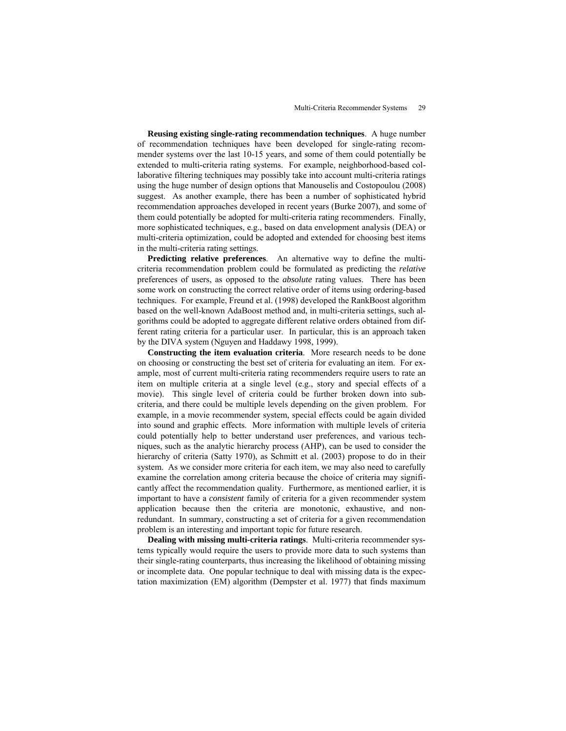**Reusing existing single-rating recommendation techniques**. A huge number of recommendation techniques have been developed for single-rating recommender systems over the last 10-15 years, and some of them could potentially be extended to multi-criteria rating systems. For example, neighborhood-based collaborative filtering techniques may possibly take into account multi-criteria ratings using the huge number of design options that Manouselis and Costopoulou (2008) suggest. As another example, there has been a number of sophisticated hybrid recommendation approaches developed in recent years (Burke 2007), and some of them could potentially be adopted for multi-criteria rating recommenders. Finally, more sophisticated techniques, e.g., based on data envelopment analysis (DEA) or multi-criteria optimization, could be adopted and extended for choosing best items in the multi-criteria rating settings.

**Predicting relative preferences**. An alternative way to define the multicriteria recommendation problem could be formulated as predicting the *relative* preferences of users, as opposed to the *absolute* rating values. There has been some work on constructing the correct relative order of items using ordering-based techniques. For example, Freund et al. (1998) developed the RankBoost algorithm based on the well-known AdaBoost method and, in multi-criteria settings, such algorithms could be adopted to aggregate different relative orders obtained from different rating criteria for a particular user. In particular, this is an approach taken by the DIVA system (Nguyen and Haddawy 1998, 1999).

**Constructing the item evaluation criteria**. More research needs to be done on choosing or constructing the best set of criteria for evaluating an item. For example, most of current multi-criteria rating recommenders require users to rate an item on multiple criteria at a single level (e.g., story and special effects of a movie). This single level of criteria could be further broken down into subcriteria, and there could be multiple levels depending on the given problem. For example, in a movie recommender system, special effects could be again divided into sound and graphic effects. More information with multiple levels of criteria could potentially help to better understand user preferences, and various techniques, such as the analytic hierarchy process (AHP), can be used to consider the hierarchy of criteria (Satty 1970), as Schmitt et al. (2003) propose to do in their system. As we consider more criteria for each item, we may also need to carefully examine the correlation among criteria because the choice of criteria may significantly affect the recommendation quality. Furthermore, as mentioned earlier, it is important to have a *consistent* family of criteria for a given recommender system application because then the criteria are monotonic, exhaustive, and nonredundant. In summary, constructing a set of criteria for a given recommendation problem is an interesting and important topic for future research.

**Dealing with missing multi-criteria ratings**. Multi-criteria recommender systems typically would require the users to provide more data to such systems than their single-rating counterparts, thus increasing the likelihood of obtaining missing or incomplete data. One popular technique to deal with missing data is the expectation maximization (EM) algorithm (Dempster et al. 1977) that finds maximum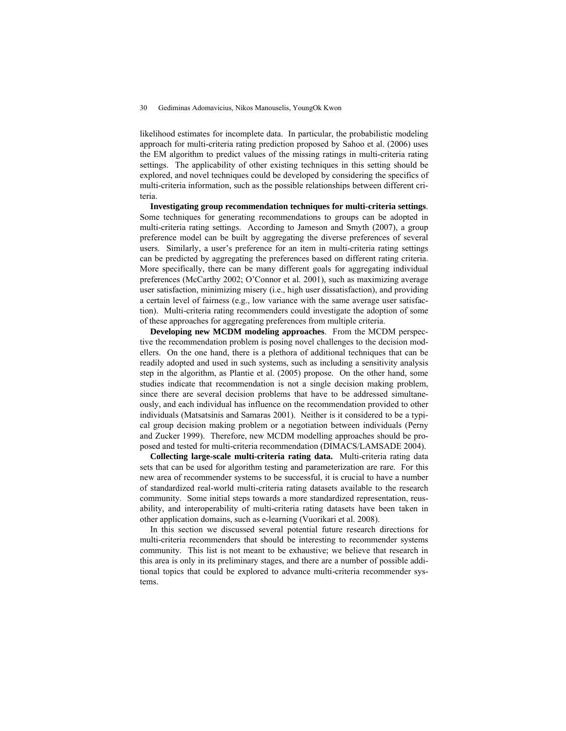likelihood estimates for incomplete data. In particular, the probabilistic modeling approach for multi-criteria rating prediction proposed by Sahoo et al. (2006) uses the EM algorithm to predict values of the missing ratings in multi-criteria rating settings. The applicability of other existing techniques in this setting should be explored, and novel techniques could be developed by considering the specifics of multi-criteria information, such as the possible relationships between different criteria.

**Investigating group recommendation techniques for multi-criteria settings**. Some techniques for generating recommendations to groups can be adopted in multi-criteria rating settings. According to Jameson and Smyth (2007), a group preference model can be built by aggregating the diverse preferences of several users. Similarly, a user's preference for an item in multi-criteria rating settings can be predicted by aggregating the preferences based on different rating criteria. More specifically, there can be many different goals for aggregating individual preferences (McCarthy 2002; O'Connor et al. 2001), such as maximizing average user satisfaction, minimizing misery (i.e., high user dissatisfaction), and providing a certain level of fairness (e.g., low variance with the same average user satisfaction). Multi-criteria rating recommenders could investigate the adoption of some of these approaches for aggregating preferences from multiple criteria.

**Developing new MCDM modeling approaches**. From the MCDM perspective the recommendation problem is posing novel challenges to the decision modellers. On the one hand, there is a plethora of additional techniques that can be readily adopted and used in such systems, such as including a sensitivity analysis step in the algorithm, as Plantie et al. (2005) propose. On the other hand, some studies indicate that recommendation is not a single decision making problem, since there are several decision problems that have to be addressed simultaneously, and each individual has influence on the recommendation provided to other individuals (Matsatsinis and Samaras 2001). Neither is it considered to be a typical group decision making problem or a negotiation between individuals (Perny and Zucker 1999). Therefore, new MCDM modelling approaches should be proposed and tested for multi-criteria recommendation (DIMACS/LAMSADE 2004).

**Collecting large-scale multi-criteria rating data.** Multi-criteria rating data sets that can be used for algorithm testing and parameterization are rare. For this new area of recommender systems to be successful, it is crucial to have a number of standardized real-world multi-criteria rating datasets available to the research community. Some initial steps towards a more standardized representation, reusability, and interoperability of multi-criteria rating datasets have been taken in other application domains, such as e-learning (Vuorikari et al. 2008).

In this section we discussed several potential future research directions for multi-criteria recommenders that should be interesting to recommender systems community. This list is not meant to be exhaustive; we believe that research in this area is only in its preliminary stages, and there are a number of possible additional topics that could be explored to advance multi-criteria recommender systems.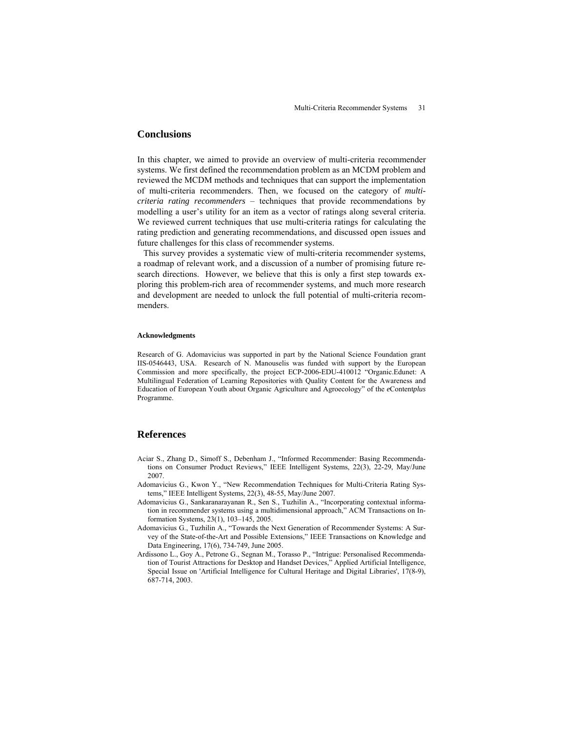# **Conclusions**

In this chapter, we aimed to provide an overview of multi-criteria recommender systems. We first defined the recommendation problem as an MCDM problem and reviewed the MCDM methods and techniques that can support the implementation of multi-criteria recommenders. Then, we focused on the category of *multicriteria rating recommenders* – techniques that provide recommendations by modelling a user's utility for an item as a vector of ratings along several criteria. We reviewed current techniques that use multi-criteria ratings for calculating the rating prediction and generating recommendations, and discussed open issues and future challenges for this class of recommender systems.

This survey provides a systematic view of multi-criteria recommender systems, a roadmap of relevant work, and a discussion of a number of promising future research directions. However, we believe that this is only a first step towards exploring this problem-rich area of recommender systems, and much more research and development are needed to unlock the full potential of multi-criteria recommenders.

### **Acknowledgments**

Research of G. Adomavicius was supported in part by the National Science Foundation grant IIS-0546443, USA. Research of N. Manouselis was funded with support by the European Commission and more specifically, the project ECP-2006-EDU-410012 "Organic.Edunet: A Multilingual Federation of Learning Repositories with Quality Content for the Awareness and Education of European Youth about Organic Agriculture and Agroecology" of the *e*Content*plus* Programme.

# **References**

- Aciar S., Zhang D., Simoff S., Debenham J., "Informed Recommender: Basing Recommendations on Consumer Product Reviews," IEEE Intelligent Systems, 22(3), 22-29, May/June 2007.
- Adomavicius G., Kwon Y., "New Recommendation Techniques for Multi-Criteria Rating Systems," IEEE Intelligent Systems, 22(3), 48-55, May/June 2007.
- Adomavicius G., Sankaranarayanan R., Sen S., Tuzhilin A., "Incorporating contextual information in recommender systems using a multidimensional approach," ACM Transactions on Information Systems, 23(1), 103–145, 2005.
- Adomavicius G., Tuzhilin A., "Towards the Next Generation of Recommender Systems: A Survey of the State-of-the-Art and Possible Extensions," IEEE Transactions on Knowledge and Data Engineering, 17(6), 734-749, June 2005.
- Ardissono L., Goy A., Petrone G., Segnan M., Torasso P., "Intrigue: Personalised Recommendation of Tourist Attractions for Desktop and Handset Devices," Applied Artificial Intelligence, Special Issue on 'Artificial Intelligence for Cultural Heritage and Digital Libraries', 17(8-9), 687-714, 2003.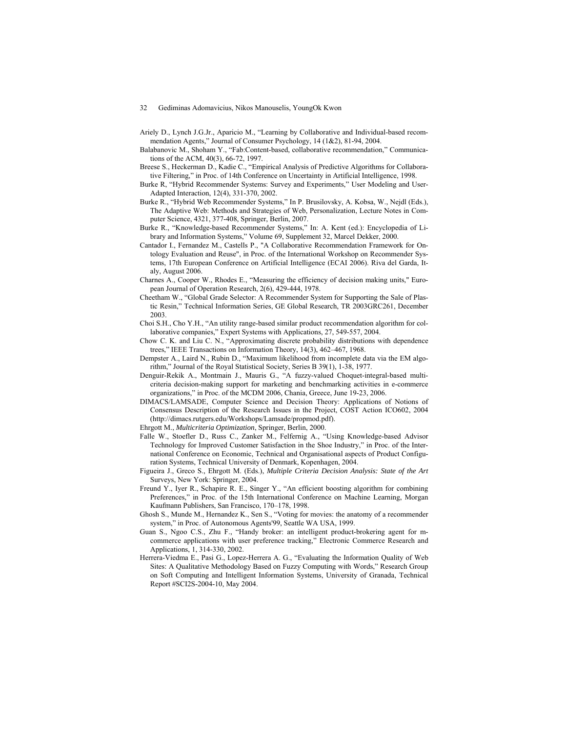- Ariely D., Lynch J.G.Jr., Aparicio M., "Learning by Collaborative and Individual-based recommendation Agents," Journal of Consumer Psychology, 14 (1&2), 81-94, 2004.
- Balabanovic M., Shoham Y., "Fab:Content-based, collaborative recommendation," Communications of the ACM, 40(3), 66-72, 1997.
- Breese S., Heckerman D., Kadie C., "Empirical Analysis of Predictive Algorithms for Collaborative Filtering," in Proc. of 14th Conference on Uncertainty in Artificial Intelligence, 1998.
- Burke R, "Hybrid Recommender Systems: Survey and Experiments," User Modeling and User-Adapted Interaction, 12(4), 331-370, 2002.
- Burke R., "Hybrid Web Recommender Systems," In P. Brusilovsky, A. Kobsa, W., Nejdl (Eds.), The Adaptive Web: Methods and Strategies of Web, Personalization, Lecture Notes in Computer Science, 4321, 377-408, Springer, Berlin, 2007.
- Burke R., "Knowledge-based Recommender Systems," In: A. Kent (ed.): Encyclopedia of Library and Information Systems," Volume 69, Supplement 32, Marcel Dekker, 2000.
- Cantador I., Fernandez M., Castells P., "A Collaborative Recommendation Framework for Ontology Evaluation and Reuse", in Proc. of the International Workshop on Recommender Systems, 17th European Conference on Artificial Intelligence (ECAI 2006). Riva del Garda, Italy, August 2006.
- Charnes A., Cooper W., Rhodes E., "Measuring the efficiency of decision making units," European Journal of Operation Research, 2(6), 429-444, 1978.
- Cheetham W., "Global Grade Selector: A Recommender System for Supporting the Sale of Plastic Resin," Technical Information Series, GE Global Research, TR 2003GRC261, December 2003.
- Choi S.H., Cho Y.H., "An utility range-based similar product recommendation algorithm for collaborative companies," Expert Systems with Applications, 27, 549-557, 2004.
- Chow C. K. and Liu C. N., "Approximating discrete probability distributions with dependence trees," IEEE Transactions on Information Theory, 14(3), 462–467, 1968.
- Dempster A., Laird N., Rubin D., "Maximum likelihood from incomplete data via the EM algorithm," Journal of the Royal Statistical Society, Series B 39(1), 1-38, 1977.
- Denguir-Rekik A., Montmain J., Mauris G., "A fuzzy-valued Choquet-integral-based multicriteria decision-making support for marketing and benchmarking activities in e-commerce organizations," in Proc. of the MCDM 2006, Chania, Greece, June 19-23, 2006.
- DIMACS/LAMSADE, Computer Science and Decision Theory: Applications of Notions of Consensus Description of the Research Issues in the Project, COST Action ICO602, 2004 (http://dimacs.rutgers.edu/Workshops/Lamsade/propmod.pdf).
- Ehrgott M., *Multicriteria Optimization*, Springer, Berlin, 2000.
- Falle W., Stoefler D., Russ C., Zanker M., Felfernig A., "Using Knowledge-based Advisor Technology for Improved Customer Satisfaction in the Shoe Industry," in Proc. of the International Conference on Economic, Technical and Organisational aspects of Product Configuration Systems, Technical University of Denmark, Kopenhagen, 2004.
- Figueira J., Greco S., Ehrgott M. (Eds.), *Multiple Criteria Decision Analysis: State of the Art*  Surveys, New York: Springer, 2004.
- Freund Y., Iyer R., Schapire R. E., Singer Y., "An efficient boosting algorithm for combining Preferences," in Proc. of the 15th International Conference on Machine Learning, Morgan Kaufmann Publishers, San Francisco, 170–178, 1998.
- Ghosh S., Munde M., Hernandez K., Sen S., "Voting for movies: the anatomy of a recommender system," in Proc. of Autonomous Agents'99, Seattle WA USA, 1999.
- Guan S., Ngoo C.S., Zhu F., "Handy broker: an intelligent product-brokering agent for mcommerce applications with user preference tracking," Electronic Commerce Research and Applications, 1, 314-330, 2002.
- Herrera-Viedma E., Pasi G., Lopez-Herrera A. G., "Evaluating the Information Quality of Web Sites: A Qualitative Methodology Based on Fuzzy Computing with Words," Research Group on Soft Computing and Intelligent Information Systems, University of Granada, Technical Report #SCI2S-2004-10, May 2004.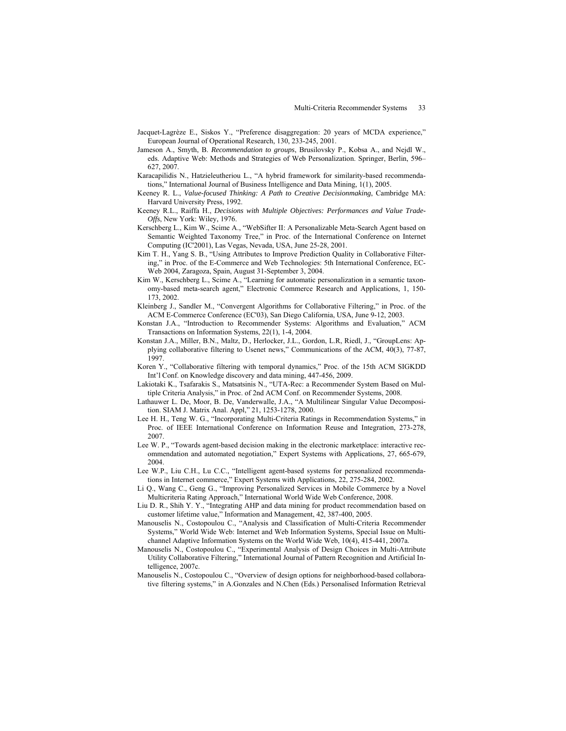- Jacquet-Lagrèze E., Siskos Y., "Preference disaggregation: 20 years of MCDA experience," European Journal of Operational Research, 130, 233-245, 2001.
- Jameson A., Smyth, B. *Recommendation to groups*, Brusilovsky P., Kobsa A., and Nejdl W., eds. Adaptive Web: Methods and Strategies of Web Personalization. Springer, Berlin, 596– 627, 2007.
- Karacapilidis N., Hatzieleutheriou L., "A hybrid framework for similarity-based recommendations," International Journal of Business Intelligence and Data Mining, 1(1), 2005.
- Keeney R. L., *Value-focused Thinking: A Path to Creative Decisionmaking*, Cambridge MA: Harvard University Press, 1992.
- Keeney R.L., Raiffa H., *Decisions with Multiple Objectives: Performances and Value Trade-Offs*, New York: Wiley, 1976.
- Kerschberg L., Kim W., Scime A., "WebSifter II: A Personalizable Meta-Search Agent based on Semantic Weighted Taxonomy Tree," in Proc. of the International Conference on Internet Computing (IC'2001), Las Vegas, Nevada, USA, June 25-28, 2001.
- Kim T. H., Yang S. B., "Using Attributes to Improve Prediction Quality in Collaborative Filtering," in Proc. of the E-Commerce and Web Technologies: 5th International Conference, EC-Web 2004, Zaragoza, Spain, August 31-September 3, 2004.
- Kim W., Kerschberg L., Scime A., "Learning for automatic personalization in a semantic taxonomy-based meta-search agent," Electronic Commerce Research and Applications, 1, 150- 173, 2002.
- Kleinberg J., Sandler M., "Convergent Algorithms for Collaborative Filtering," in Proc. of the ACM E-Commerce Conference (EC'03), San Diego California, USA, June 9-12, 2003.
- Konstan J.A., "Introduction to Recommender Systems: Algorithms and Evaluation," ACM Transactions on Information Systems, 22(1), 1-4, 2004.
- Konstan J.A., Miller, B.N., Maltz, D., Herlocker, J.L., Gordon, L.R, Riedl, J., "GroupLens: Applying collaborative filtering to Usenet news," Communications of the ACM, 40(3), 77-87, 1997.
- Koren Y., "Collaborative filtering with temporal dynamics," Proc. of the 15th ACM SIGKDD Int'l Conf. on Knowledge discovery and data mining, 447-456, 2009.
- Lakiotaki K., Tsafarakis S., Matsatsinis N., "UTA-Rec: a Recommender System Based on Multiple Criteria Analysis," in Proc. of 2nd ACM Conf. on Recommender Systems, 2008.
- Lathauwer L. De, Moor, B. De, Vanderwalle, J.A., "A Multilinear Singular Value Decomposition. SIAM J. Matrix Anal. Appl," 21, 1253-1278, 2000.
- Lee H. H., Teng W. G., "Incorporating Multi-Criteria Ratings in Recommendation Systems," in Proc. of IEEE International Conference on Information Reuse and Integration, 273-278, 2007.
- Lee W. P., "Towards agent-based decision making in the electronic marketplace: interactive recommendation and automated negotiation," Expert Systems with Applications, 27, 665-679, 2004.
- Lee W.P., Liu C.H., Lu C.C., "Intelligent agent-based systems for personalized recommendations in Internet commerce," Expert Systems with Applications, 22, 275-284, 2002.
- Li Q., Wang C., Geng G., "Improving Personalized Services in Mobile Commerce by a Novel Multicriteria Rating Approach," International World Wide Web Conference, 2008.
- Liu D. R., Shih Y. Y., "Integrating AHP and data mining for product recommendation based on customer lifetime value," Information and Management, 42, 387-400, 2005.
- Manouselis N., Costopoulou C., "Analysis and Classification of Multi-Criteria Recommender Systems," World Wide Web: Internet and Web Information Systems, Special Issue on Multichannel Adaptive Information Systems on the World Wide Web, 10(4), 415-441, 2007a.
- Manouselis N., Costopoulou C., "Experimental Analysis of Design Choices in Multi-Attribute Utility Collaborative Filtering," International Journal of Pattern Recognition and Artificial Intelligence, 2007c.
- Manouselis N., Costopoulou C., "Overview of design options for neighborhood-based collaborative filtering systems," in A.Gonzales and N.Chen (Eds.) Personalised Information Retrieval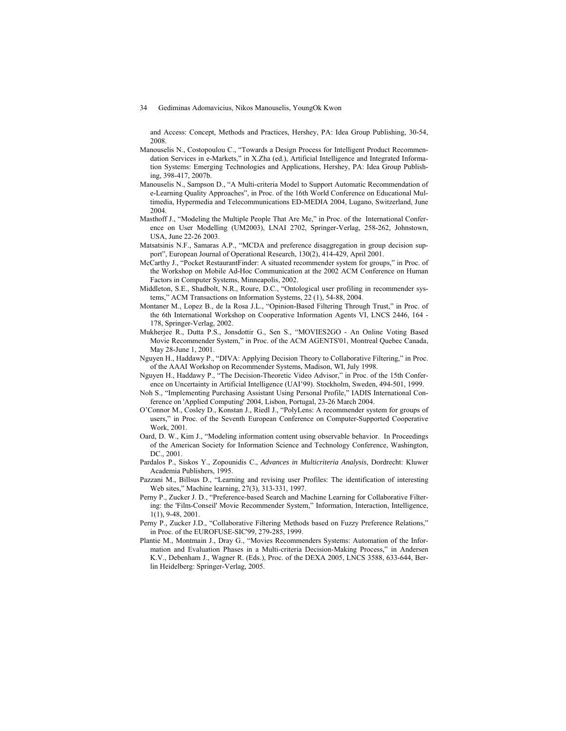and Access: Concept, Methods and Practices, Hershey, PA: Idea Group Publishing, 30-54, 2008.

- Manouselis N., Costopoulou C., "Towards a Design Process for Intelligent Product Recommendation Services in e-Markets," in X.Zha (ed.), Artificial Intelligence and Integrated Information Systems: Emerging Technologies and Applications, Hershey, PA: Idea Group Publishing, 398-417, 2007b.
- Manouselis N., Sampson D., "A Multi-criteria Model to Support Automatic Recommendation of e-Learning Quality Approaches", in Proc. of the 16th World Conference on Educational Multimedia, Hypermedia and Telecommunications ED-MEDIA 2004, Lugano, Switzerland, June 2004.
- Masthoff J., "Modeling the Multiple People That Are Me," in Proc. of the International Conference on User Modelling (UM2003), LNAI 2702, Springer-Verlag, 258-262, Johnstown, USA, June 22-26 2003.
- Matsatsinis N.F., Samaras A.P., "MCDA and preference disaggregation in group decision support", European Journal of Operational Research, 130(2), 414-429, April 2001.
- McCarthy J., "Pocket RestaurantFinder: A situated recommender system for groups," in Proc. of the Workshop on Mobile Ad-Hoc Communication at the 2002 ACM Conference on Human Factors in Computer Systems, Minneapolis, 2002.
- Middleton, S.E., Shadbolt, N.R., Roure, D.C., "Ontological user profiling in recommender systems," ACM Transactions on Information Systems, 22 (1), 54-88, 2004.
- Montaner M., Lopez B., de la Rosa J.L., "Opinion-Based Filtering Through Trust," in Proc. of the 6th International Workshop on Cooperative Information Agents VI, LNCS 2446, 164 - 178, Springer-Verlag, 2002.
- Mukherjee R., Dutta P.S., Jonsdottir G., Sen S., "MOVIES2GO An Online Voting Based Movie Recommender System," in Proc. of the ACM AGENTS'01, Montreal Quebec Canada, May 28-June 1, 2001.
- Nguyen H., Haddawy P., "DIVA: Applying Decision Theory to Collaborative Filtering," in Proc. of the AAAI Workshop on Recommender Systems, Madison, WI, July 1998.
- Nguyen H., Haddawy P., "The Decision-Theoretic Video Advisor," in Proc. of the 15th Conference on Uncertainty in Artificial Intelligence (UAI'99). Stockholm, Sweden, 494-501, 1999.
- Noh S., "Implementing Purchasing Assistant Using Personal Profile," IADIS International Conference on 'Applied Computing' 2004, Lisbon, Portugal, 23-26 March 2004.
- O'Connor M., Cosley D., Konstan J., Riedl J., "PolyLens: A recommender system for groups of users," in Proc. of the Seventh European Conference on Computer-Supported Cooperative Work, 2001.
- Oard, D. W., Kim J., "Modeling information content using observable behavior. In Proceedings of the American Society for Information Science and Technology Conference, Washington, DC., 2001.
- Pardalos P., Siskos Y., Zopounidis C., *Advances in Multicriteria Analysis*, Dordrecht: Kluwer Academia Publishers, 1995.
- Pazzani M., Billsus D., "Learning and revising user Profiles: The identification of interesting Web sites," Machine learning, 27(3), 313-331, 1997.
- Perny P., Zucker J. D., "Preference-based Search and Machine Learning for Collaborative Filtering: the 'Film-Conseil' Movie Recommender System," Information, Interaction, Intelligence, 1(1), 9-48, 2001.
- Perny P., Zucker J.D., "Collaborative Filtering Methods based on Fuzzy Preference Relations," in Proc. of the EUROFUSE-SIC'99, 279-285, 1999.
- Plantie M., Montmain J., Dray G., "Movies Recommenders Systems: Automation of the Information and Evaluation Phases in a Multi-criteria Decision-Making Process," in Andersen K.V., Debenham J., Wagner R. (Eds.), Proc. of the DEXA 2005, LNCS 3588, 633-644, Berlin Heidelberg: Springer-Verlag, 2005.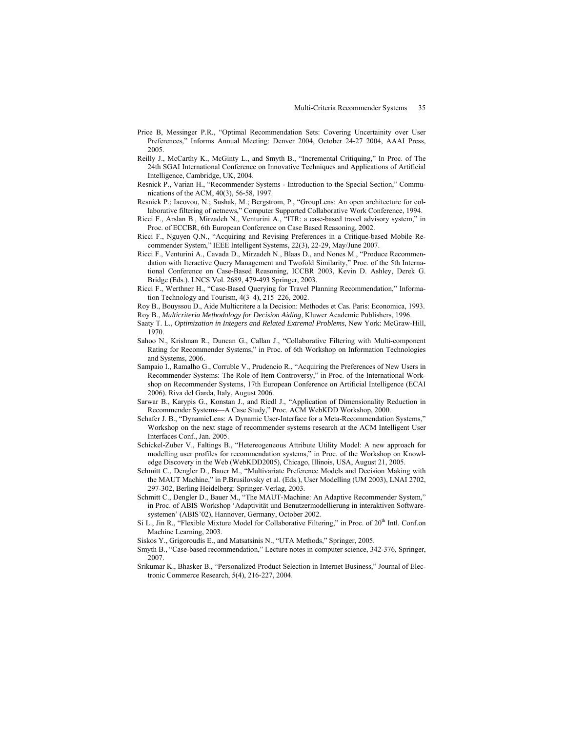- Price B, Messinger P.R., "Optimal Recommendation Sets: Covering Uncertainity over User Preferences," Informs Annual Meeting: Denver 2004, October 24-27 2004, AAAI Press, 2005.
- Reilly J., McCarthy K., McGinty L., and Smyth B., "Incremental Critiquing," In Proc. of The 24th SGAI International Conference on Innovative Techniques and Applications of Artificial Intelligence, Cambridge, UK, 2004.
- Resnick P., Varian H., "Recommender Systems Introduction to the Special Section," Communications of the ACM, 40(3), 56-58, 1997.
- Resnick P.; Iacovou, N.; Sushak, M.; Bergstrom, P., "GroupLens: An open architecture for collaborative filtering of netnews," Computer Supported Collaborative Work Conference, 1994.
- Ricci F., Arslan B., Mirzadeh N., Venturini A., "ITR: a case-based travel advisory system," in Proc. of ECCBR, 6th European Conference on Case Based Reasoning, 2002.
- Ricci F., Nguyen Q.N., "Acquiring and Revising Preferences in a Critique-based Mobile Recommender System," IEEE Intelligent Systems, 22(3), 22-29, May/June 2007.
- Ricci F., Venturini A., Cavada D., Mirzadeh N., Blaas D., and Nones M., "Produce Recommendation with Iteractive Query Management and Twofold Similarity," Proc. of the 5th International Conference on Case-Based Reasoning, ICCBR 2003, Kevin D. Ashley, Derek G. Bridge (Eds.). LNCS Vol. 2689, 479-493 Springer, 2003.
- Ricci F., Werthner H., "Case-Based Querying for Travel Planning Recommendation," Information Technology and Tourism, 4(3–4), 215–226, 2002.
- Roy B., Bouyssou D., Aide Multicritere a la Decision: Methodes et Cas. Paris: Economica, 1993.
- Roy B., *Multicriteria Methodology for Decision Aiding*, Kluwer Academic Publishers, 1996.
- Saaty T. L., *Optimization in Integers and Related Extremal Problems*, New York: McGraw-Hill, 1970.
- Sahoo N., Krishnan R., Duncan G., Callan J., "Collaborative Filtering with Multi-component Rating for Recommender Systems," in Proc. of 6th Workshop on Information Technologies and Systems, 2006.
- Sampaio I., Ramalho G., Corruble V., Prudencio R., "Acquiring the Preferences of New Users in Recommender Systems: The Role of Item Controversy," in Proc. of the International Workshop on Recommender Systems, 17th European Conference on Artificial Intelligence (ECAI 2006). Riva del Garda, Italy, August 2006.
- Sarwar B., Karypis G., Konstan J., and Riedl J., "Application of Dimensionality Reduction in Recommender Systems—A Case Study," Proc. ACM WebKDD Workshop, 2000.
- Schafer J. B., "DynamicLens: A Dynamic User-Interface for a Meta-Recommendation Systems," Workshop on the next stage of recommender systems research at the ACM Intelligent User Interfaces Conf., Jan. 2005.
- Schickel-Zuber V., Faltings B., "Hetereogeneous Attribute Utility Model: A new approach for modelling user profiles for recommendation systems," in Proc. of the Workshop on Knowledge Discovery in the Web (WebKDD2005), Chicago, Illinois, USA, August 21, 2005.
- Schmitt C., Dengler D., Bauer M., "Multivariate Preference Models and Decision Making with the MAUT Machine," in P.Brusilovsky et al. (Eds.), User Modelling (UM 2003), LNAI 2702, 297-302, Berling Heidelberg: Springer-Verlag, 2003.
- Schmitt C., Dengler D., Bauer M., "The MAUT-Machine: An Adaptive Recommender System," in Proc. of ABIS Workshop 'Adaptivität und Benutzermodellierung in interaktiven Softwaresystemen' (ABIS'02), Hannover, Germany, October 2002.
- Si L., Jin R., "Flexible Mixture Model for Collaborative Filtering," in Proc. of 20<sup>th</sup> Intl. Conf.on Machine Learning, 2003.
- Siskos Y., Grigoroudis E., and Matsatsinis N., "UTA Methods," Springer, 2005.
- Smyth B., "Case-based recommendation," Lecture notes in computer science, 342-376, Springer, 2007.
- Srikumar K., Bhasker B., "Personalized Product Selection in Internet Business," Journal of Electronic Commerce Research, 5(4), 216-227, 2004.